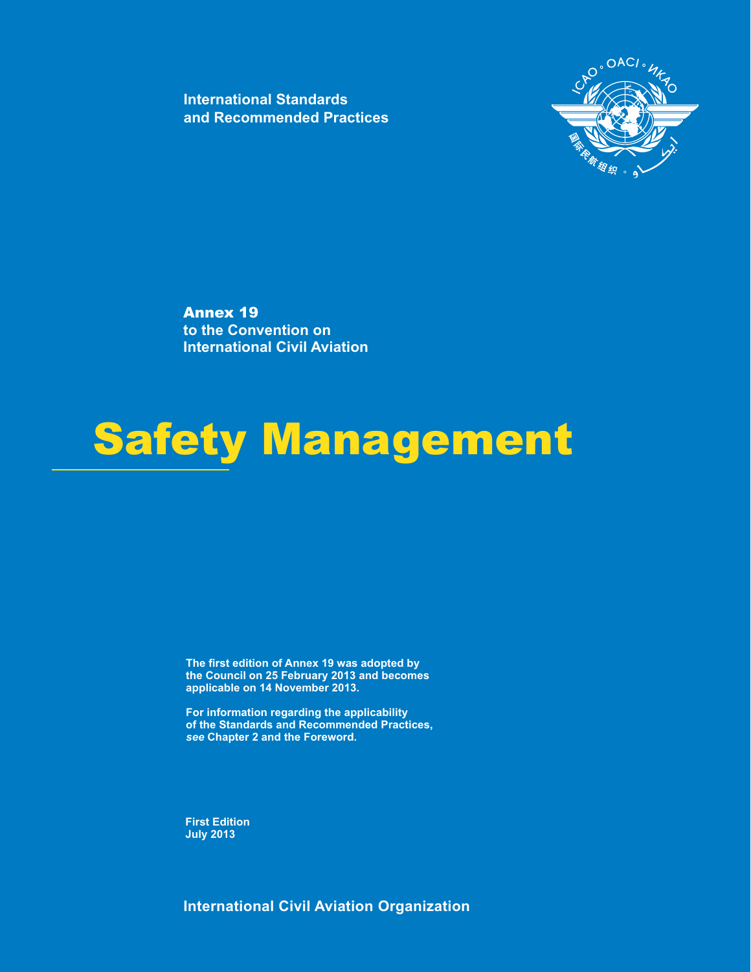**International Standards and Recommended Practices**



Annex 19 **to the Convention on International Civil Aviation**

# Safety Management

**The first edition of Annex 19 was adopted by** the Council on 25 February 2013 and becomes **applicable on 14 November 2013.**

**For information regarding the applicability of the Standards and Recommended Practices,** *see* **Chapter 2 and the Foreword.**

**First Edition July 2013**

**International Civil Aviation Organization**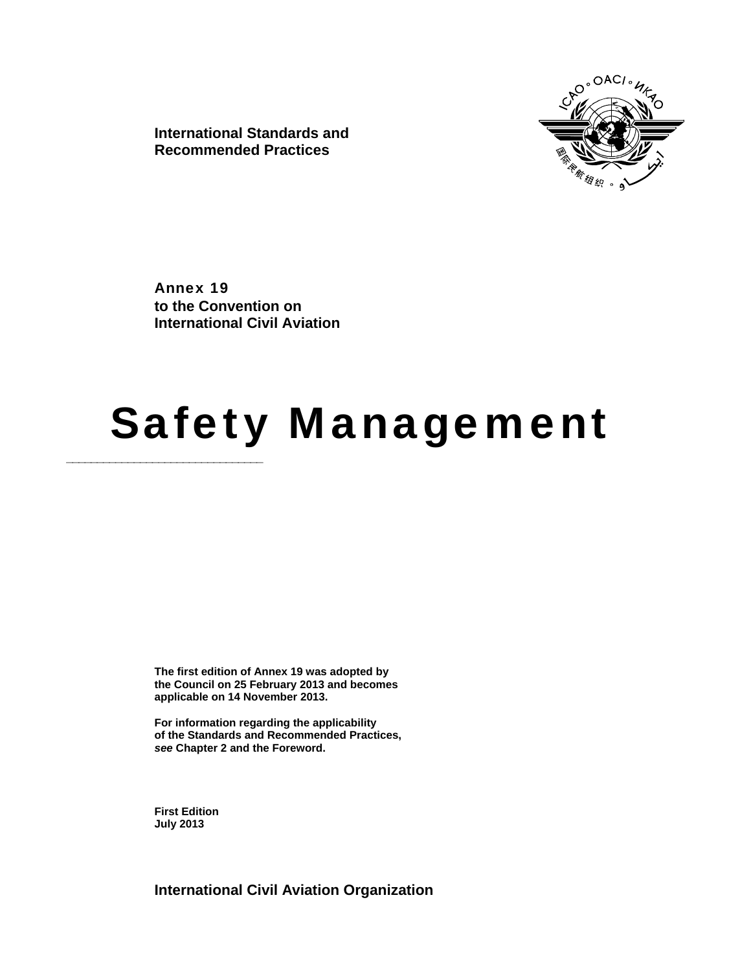

**International Standards and Recommended Practices** 

Annex 19 **to the Convention on International Civil Aviation** 

# Safety Management

**The first edition of Annex 19 was adopted by the Council on 25 February 2013 and becomes applicable on 14 November 2013.** 

**For information regarding the applicability of the Standards and Recommended Practices,**  *see* **Chapter 2 and the Foreword.** 

**First Edition July 2013** 

**International Civil Aviation Organization**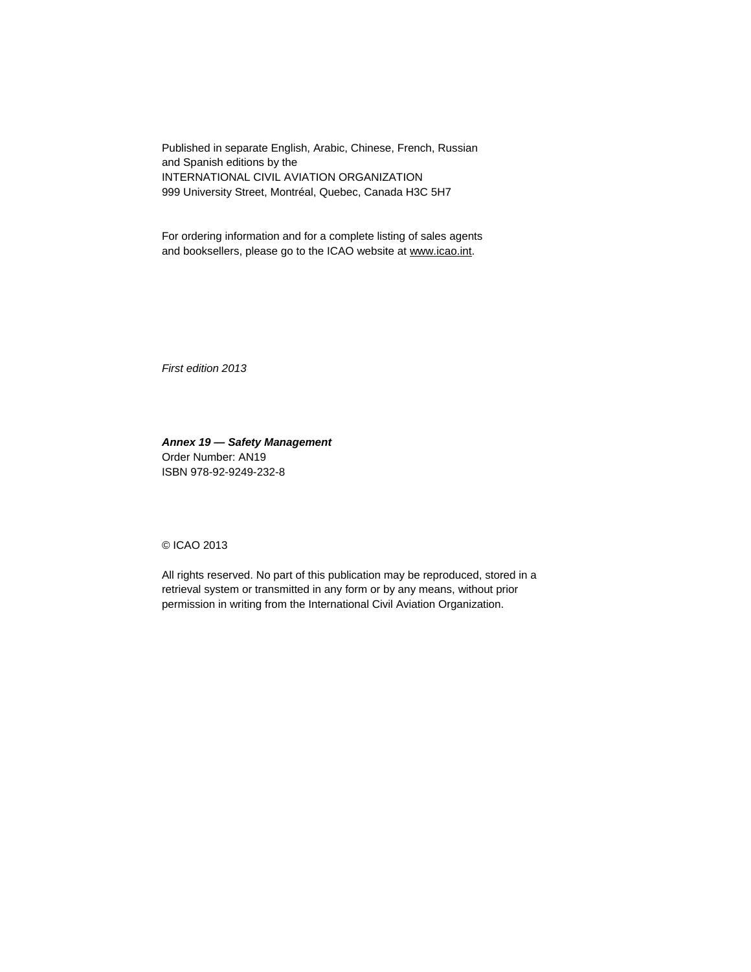Published in separate English, Arabic, Chinese, French, Russian and Spanish editions by the INTERNATIONAL CIVIL AVIATION ORGANIZATION 999 University Street, Montréal, Quebec, Canada H3C 5H7

For ordering information and for a complete listing of sales agents and booksellers, please go to the ICAO website at www.icao.int.

*First edition 2013* 

*Annex 19 — Safety Management*  Order Number: AN19 ISBN 978-92-9249-232-8

#### © ICAO 2013

All rights reserved. No part of this publication may be reproduced, stored in a retrieval system or transmitted in any form or by any means, without prior permission in writing from the International Civil Aviation Organization.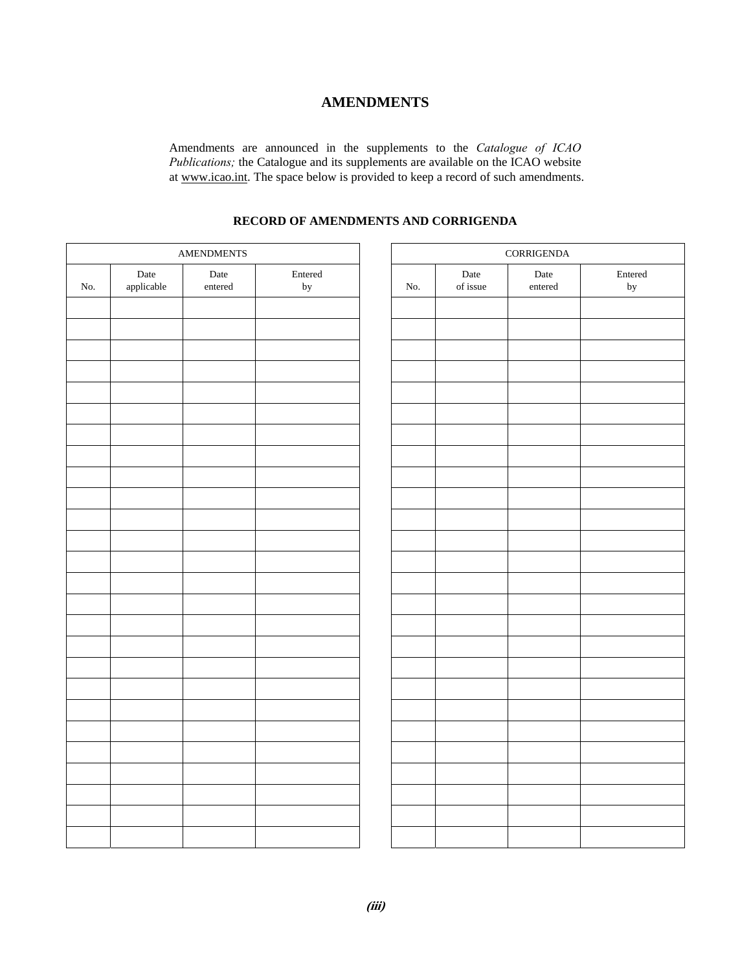### **AMENDMENTS**

Amendments are announced in the supplements to the *Catalogue of ICAO Publications;* the Catalogue and its supplements are available on the ICAO website at www.icao.int. The space below is provided to keep a record of such amendments.

#### **RECORD OF AMENDMENTS AND CORRIGENDA**

|           |                                     | $\operatorname{AMENDMENTS}$ |                        |     |                                                          | CORRIGENDA                  |                                                |
|-----------|-------------------------------------|-----------------------------|------------------------|-----|----------------------------------------------------------|-----------------------------|------------------------------------------------|
| $\rm No.$ | Date<br>$\operatorname{applicable}$ | $\rm{Date}$<br>entered      | Entered<br>$_{\rm by}$ | No. | Date<br>$% \left\vert \mathcal{A}\right\rangle$ of issue | $\rm{Date}$<br>$\,$ entered | $\ensuremath{\mathsf{Entered}}$<br>$_{\rm by}$ |
|           |                                     |                             |                        |     |                                                          |                             |                                                |
|           |                                     |                             |                        |     |                                                          |                             |                                                |
|           |                                     |                             |                        |     |                                                          |                             |                                                |
|           |                                     |                             |                        |     |                                                          |                             |                                                |
|           |                                     |                             |                        |     |                                                          |                             |                                                |
|           |                                     |                             |                        |     |                                                          |                             |                                                |
|           |                                     |                             |                        |     |                                                          |                             |                                                |
|           |                                     |                             |                        |     |                                                          |                             |                                                |
|           |                                     |                             |                        |     |                                                          |                             |                                                |
|           |                                     |                             |                        |     |                                                          |                             |                                                |
|           |                                     |                             |                        |     |                                                          |                             |                                                |
|           |                                     |                             |                        |     |                                                          |                             |                                                |
|           |                                     |                             |                        |     |                                                          |                             |                                                |
|           |                                     |                             |                        |     |                                                          |                             |                                                |
|           |                                     |                             |                        |     |                                                          |                             |                                                |
|           |                                     |                             |                        |     |                                                          |                             |                                                |
|           |                                     |                             |                        |     |                                                          |                             |                                                |
|           |                                     |                             |                        |     |                                                          |                             |                                                |
|           |                                     |                             |                        |     |                                                          |                             |                                                |
|           |                                     |                             |                        |     |                                                          |                             |                                                |
|           |                                     |                             |                        |     |                                                          |                             |                                                |
|           |                                     |                             |                        |     |                                                          |                             |                                                |
|           |                                     |                             |                        |     |                                                          |                             |                                                |
|           |                                     |                             |                        |     |                                                          |                             |                                                |
|           |                                     |                             |                        |     |                                                          |                             |                                                |
|           |                                     |                             |                        |     |                                                          |                             |                                                |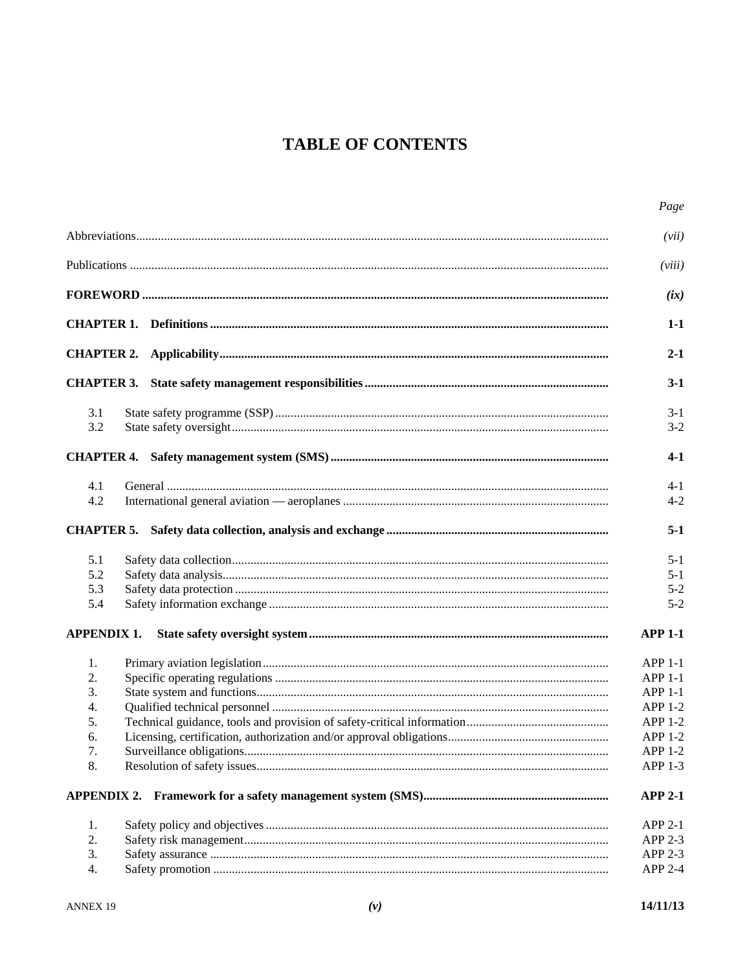# **TABLE OF CONTENTS**

|                    | Page           |
|--------------------|----------------|
|                    | (vii)          |
|                    | (viii)         |
|                    | (ix)           |
|                    | $1-1$          |
|                    | $2 - 1$        |
|                    | $3-1$          |
| 3.1                | $3-1$          |
| 3.2                | $3 - 2$        |
|                    |                |
|                    | $4 - 1$        |
| 4.1                | $4-1$          |
| 4.2                | $4 - 2$        |
|                    |                |
|                    | $5 - 1$        |
| 5.1                | $5-1$          |
| 5.2                | $5-1$          |
| 5.3                | $5 - 2$        |
| 5.4                | $5 - 2$        |
| <b>APPENDIX 1.</b> | <b>APP 1-1</b> |
| 1.                 | <b>APP 1-1</b> |
| 2.                 | <b>APP 1-1</b> |
| 3.                 | <b>APP 1-1</b> |
| $\overline{4}$ .   | APP 1-2        |
| 5.                 | APP 1-2        |
| 6.                 | APP 1-2        |
| 7.                 | APP 1-2        |
| 8.                 | APP 1-3        |
|                    | <b>APP 2-1</b> |
| 1.                 | APP 2-1        |
| 2.                 | APP 2-3        |
| 3.                 | APP 2-3        |
| 4.                 | APP 2-4        |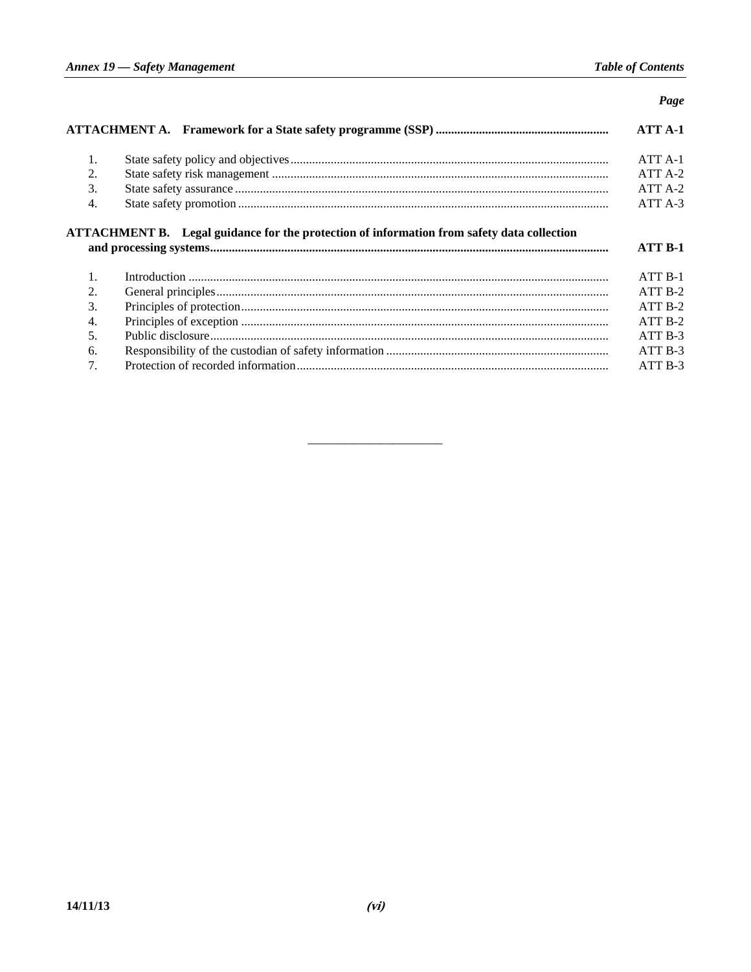|                  |                                                                                                   | Page                |
|------------------|---------------------------------------------------------------------------------------------------|---------------------|
|                  |                                                                                                   | ATT A-1             |
| 1.               |                                                                                                   | $ATT A-1$           |
| 2.               |                                                                                                   | ATT A-2             |
| $\mathcal{E}$    |                                                                                                   | $ATT A-2$           |
| $\overline{4}$ . |                                                                                                   | $ATT A-3$           |
|                  | <b>ATTACHMENT B.</b> Legal guidance for the protection of information from safety data collection | ATT B-1             |
| 1.               |                                                                                                   | $ATT B-1$           |
| 2.               |                                                                                                   | $ATT B-2$           |
| 3.               |                                                                                                   | $ATT B-2$           |
| $\overline{4}$ . |                                                                                                   | $ATT B-2$           |
| 5.               |                                                                                                   | $ATT B-3$           |
| 6.               |                                                                                                   | ATT <sub>B</sub> -3 |
| 7.               |                                                                                                   | ATT <sub>B-3</sub>  |

### $14/11/13$

 $(vi)$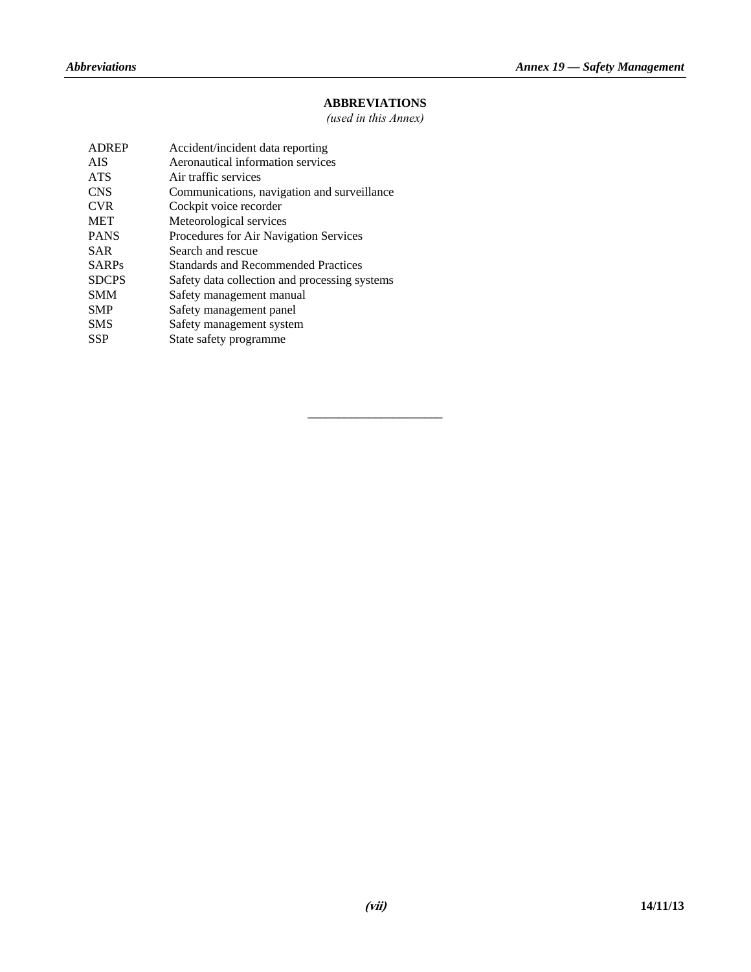## **ABBREVIATIONS**

*(used in this Annex)* 

| ADREP        | Accident/incident data reporting              |
|--------------|-----------------------------------------------|
| <b>AIS</b>   | Aeronautical information services             |
| <b>ATS</b>   | Air traffic services                          |
| <b>CNS</b>   | Communications, navigation and surveillance   |
| <b>CVR</b>   | Cockpit voice recorder                        |
| <b>MET</b>   | Meteorological services                       |
| <b>PANS</b>  | Procedures for Air Navigation Services        |
| <b>SAR</b>   | Search and rescue                             |
| <b>SARPs</b> | Standards and Recommended Practices           |
| <b>SDCPS</b> | Safety data collection and processing systems |
| <b>SMM</b>   | Safety management manual                      |
| <b>SMP</b>   | Safety management panel                       |
| <b>SMS</b>   | Safety management system                      |
| SSP          | State safety programme                        |
|              |                                               |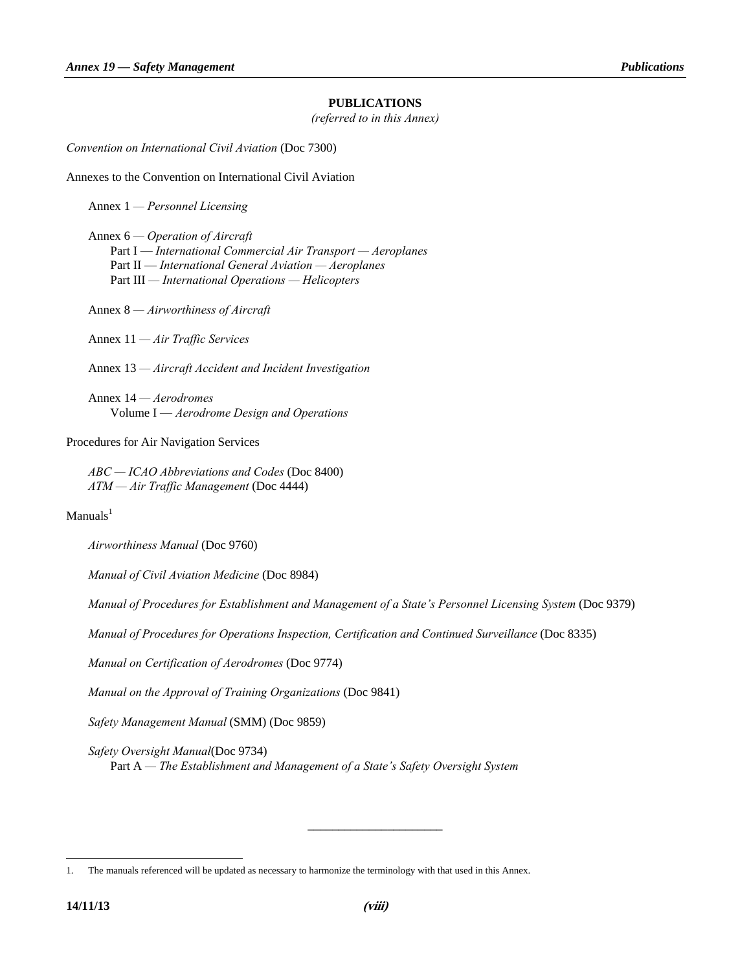#### **PUBLICATIONS**

*(referred to in this Annex)* 

*Convention on International Civil Aviation* (Doc 7300)

Annexes to the Convention on International Civil Aviation

Annex 1 *— Personnel Licensing* 

 Annex 6 *— Operation of Aircraft*  Part I — *International Commercial Air Transport — Aeroplanes* Part II — *International General Aviation — Aeroplanes* Part III *— International Operations — Helicopters*

Annex 8 *— Airworthiness of Aircraft* 

Annex 11 *— Air Traffic Services* 

Annex 13 *— Aircraft Accident and Incident Investigation* 

 Annex 14 *— Aerodromes* Volume I — *Aerodrome Design and Operations*

Procedures for Air Navigation Services

*ABC — ICAO Abbreviations and Codes* (Doc 8400) *ATM — Air Traffic Management* (Doc 4444)

 $Manuals<sup>1</sup>$ 

 *Airworthiness Manual* (Doc 9760)

 *Manual of Civil Aviation Medicine* (Doc 8984)

*Manual of Procedures for Establishment and Management of a State's Personnel Licensing System (Doc 9379)* 

 *Manual of Procedures for Operations Inspection, Certification and Continued Surveillance* (Doc 8335)

 *Manual on Certification of Aerodromes* (Doc 9774)

 *Manual on the Approval of Training Organizations* (Doc 9841)

 *Safety Management Manual* (SMM) (Doc 9859)

 *Safety Oversight Manual*(Doc 9734) Part A *— The Establishment and Management of a State's Safety Oversight System*

 $\overline{\phantom{a}}$ 

<sup>1.</sup> The manuals referenced will be updated as necessary to harmonize the terminology with that used in this Annex.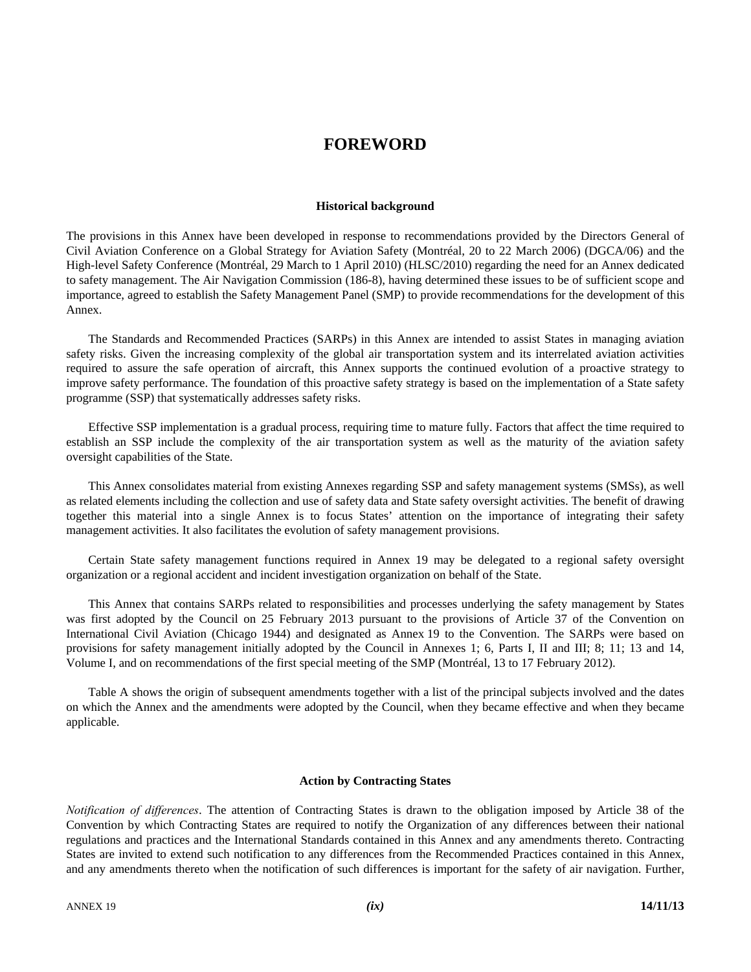## **FOREWORD**

#### **Historical background**

The provisions in this Annex have been developed in response to recommendations provided by the Directors General of Civil Aviation Conference on a Global Strategy for Aviation Safety (Montréal, 20 to 22 March 2006) (DGCA/06) and the High-level Safety Conference (Montréal, 29 March to 1 April 2010) (HLSC/2010) regarding the need for an Annex dedicated to safety management. The Air Navigation Commission (186-8), having determined these issues to be of sufficient scope and importance, agreed to establish the Safety Management Panel (SMP) to provide recommendations for the development of this Annex.

 The Standards and Recommended Practices (SARPs) in this Annex are intended to assist States in managing aviation safety risks. Given the increasing complexity of the global air transportation system and its interrelated aviation activities required to assure the safe operation of aircraft, this Annex supports the continued evolution of a proactive strategy to improve safety performance. The foundation of this proactive safety strategy is based on the implementation of a State safety programme (SSP) that systematically addresses safety risks.

 Effective SSP implementation is a gradual process, requiring time to mature fully. Factors that affect the time required to establish an SSP include the complexity of the air transportation system as well as the maturity of the aviation safety oversight capabilities of the State.

 This Annex consolidates material from existing Annexes regarding SSP and safety management systems (SMSs), as well as related elements including the collection and use of safety data and State safety oversight activities. The benefit of drawing together this material into a single Annex is to focus States' attention on the importance of integrating their safety management activities. It also facilitates the evolution of safety management provisions.

 Certain State safety management functions required in Annex 19 may be delegated to a regional safety oversight organization or a regional accident and incident investigation organization on behalf of the State.

 This Annex that contains SARPs related to responsibilities and processes underlying the safety management by States was first adopted by the Council on 25 February 2013 pursuant to the provisions of Article 37 of the Convention on International Civil Aviation (Chicago 1944) and designated as Annex 19 to the Convention. The SARPs were based on provisions for safety management initially adopted by the Council in Annexes 1; 6, Parts I, II and III; 8; 11; 13 and 14, Volume I, and on recommendations of the first special meeting of the SMP (Montréal, 13 to 17 February 2012).

 Table A shows the origin of subsequent amendments together with a list of the principal subjects involved and the dates on which the Annex and the amendments were adopted by the Council, when they became effective and when they became applicable.

#### **Action by Contracting States**

*Notification of differences*. The attention of Contracting States is drawn to the obligation imposed by Article 38 of the Convention by which Contracting States are required to notify the Organization of any differences between their national regulations and practices and the International Standards contained in this Annex and any amendments thereto. Contracting States are invited to extend such notification to any differences from the Recommended Practices contained in this Annex, and any amendments thereto when the notification of such differences is important for the safety of air navigation. Further,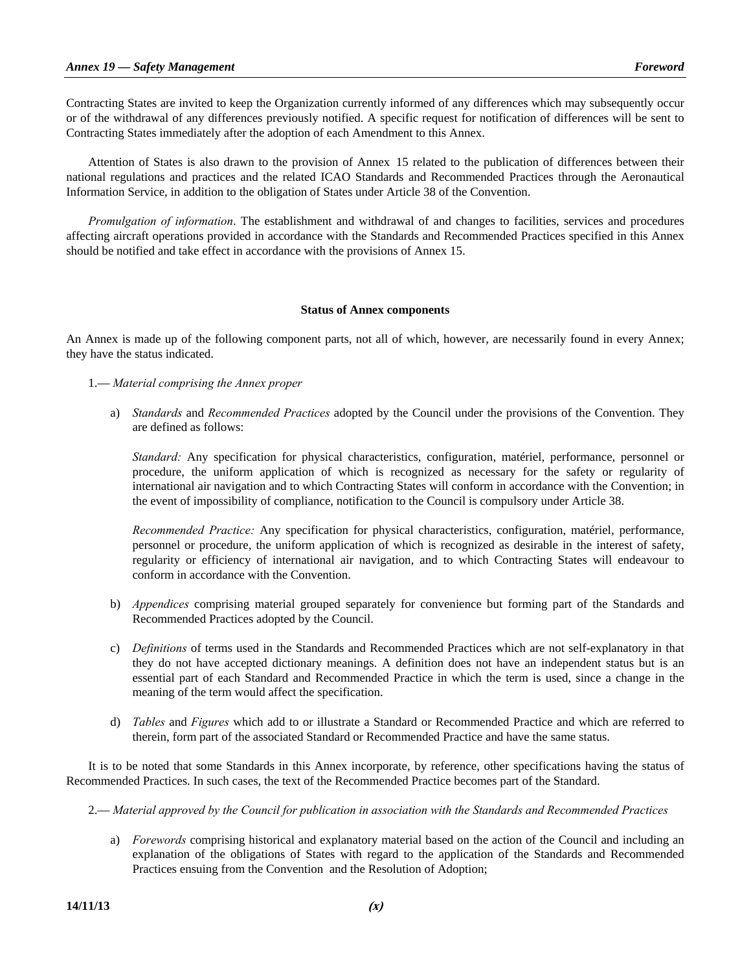Contracting States are invited to keep the Organization currently informed of any differences which may subsequently occur or of the withdrawal of any differences previously notified. A specific request for notification of differences will be sent to Contracting States immediately after the adoption of each Amendment to this Annex.

 Attention of States is also drawn to the provision of Annex 15 related to the publication of differences between their national regulations and practices and the related ICAO Standards and Recommended Practices through the Aeronautical Information Service, in addition to the obligation of States under Article 38 of the Convention.

 *Promulgation of information*. The establishment and withdrawal of and changes to facilities, services and procedures affecting aircraft operations provided in accordance with the Standards and Recommended Practices specified in this Annex should be notified and take effect in accordance with the provisions of Annex 15.

#### **Status of Annex components**

An Annex is made up of the following component parts, not all of which, however, are necessarily found in every Annex; they have the status indicated.

- 1.— *Material comprising the Annex proper* 
	- a) *Standards* and *Recommended Practices* adopted by the Council under the provisions of the Convention. They are defined as follows:

 *Standard:* Any specification for physical characteristics, configuration, matériel, performance, personnel or procedure, the uniform application of which is recognized as necessary for the safety or regularity of international air navigation and to which Contracting States will conform in accordance with the Convention; in the event of impossibility of compliance, notification to the Council is compulsory under Article 38.

 *Recommended Practice:* Any specification for physical characteristics, configuration, matériel, performance, personnel or procedure, the uniform application of which is recognized as desirable in the interest of safety, regularity or efficiency of international air navigation, and to which Contracting States will endeavour to conform in accordance with the Convention.

- b) *Appendices* comprising material grouped separately for convenience but forming part of the Standards and Recommended Practices adopted by the Council.
- c) *Definitions* of terms used in the Standards and Recommended Practices which are not self-explanatory in that they do not have accepted dictionary meanings. A definition does not have an independent status but is an essential part of each Standard and Recommended Practice in which the term is used, since a change in the meaning of the term would affect the specification.
- d) *Tables* and *Figures* which add to or illustrate a Standard or Recommended Practice and which are referred to therein, form part of the associated Standard or Recommended Practice and have the same status.

 It is to be noted that some Standards in this Annex incorporate, by reference, other specifications having the status of Recommended Practices. In such cases, the text of the Recommended Practice becomes part of the Standard.

- 2.— *Material approved by the Council for publication in association with the Standards and Recommended Practices* 
	- a) *Forewords* comprising historical and explanatory material based on the action of the Council and including an explanation of the obligations of States with regard to the application of the Standards and Recommended Practices ensuing from the Convention and the Resolution of Adoption;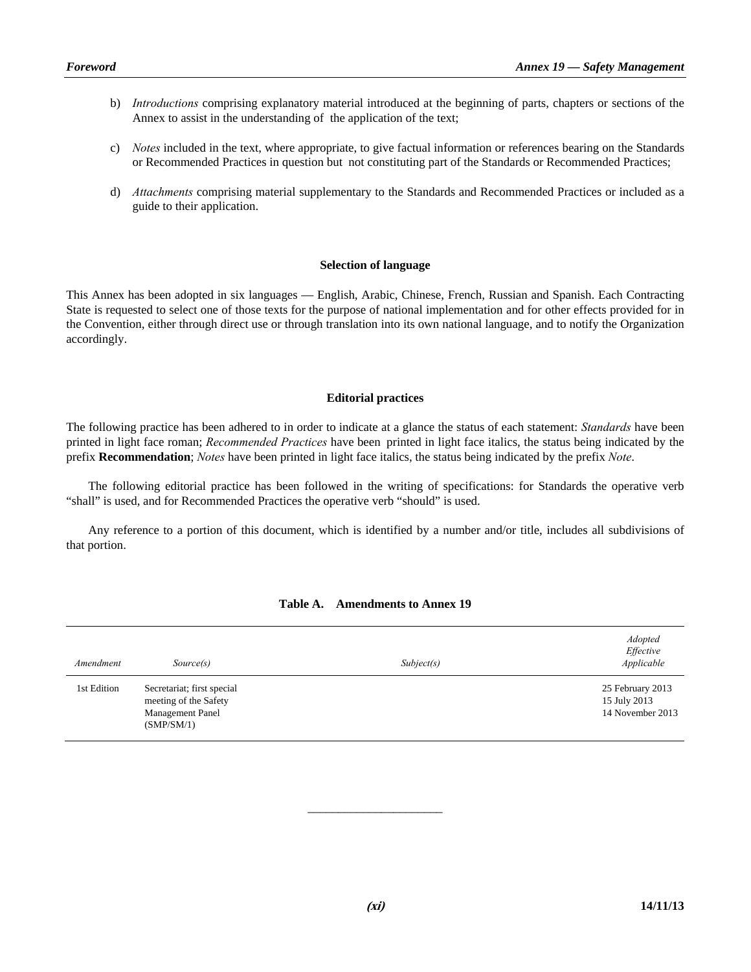- b) *Introductions* comprising explanatory material introduced at the beginning of parts, chapters or sections of the Annex to assist in the understanding of the application of the text;
- c) *Notes* included in the text, where appropriate, to give factual information or references bearing on the Standards or Recommended Practices in question but not constituting part of the Standards or Recommended Practices;
- d) *Attachments* comprising material supplementary to the Standards and Recommended Practices or included as a guide to their application.

#### **Selection of language**

This Annex has been adopted in six languages — English, Arabic, Chinese, French, Russian and Spanish. Each Contracting State is requested to select one of those texts for the purpose of national implementation and for other effects provided for in the Convention, either through direct use or through translation into its own national language, and to notify the Organization accordingly.

#### **Editorial practices**

The following practice has been adhered to in order to indicate at a glance the status of each statement: *Standards* have been printed in light face roman; *Recommended Practices* have been printed in light face italics, the status being indicated by the prefix **Recommendation**; *Notes* have been printed in light face italics, the status being indicated by the prefix *Note*.

 The following editorial practice has been followed in the writing of specifications: for Standards the operative verb "shall" is used, and for Recommended Practices the operative verb "should" is used.

 Any reference to a portion of this document, which is identified by a number and/or title, includes all subdivisions of that portion.

| Amendment   | Source(s)                                                                                    | Subject(s) | Adopted<br>Effective<br>Applicable                   |
|-------------|----------------------------------------------------------------------------------------------|------------|------------------------------------------------------|
| 1st Edition | Secretariat; first special<br>meeting of the Safety<br><b>Management Panel</b><br>(SMP/SM/1) |            | 25 February 2013<br>15 July 2013<br>14 November 2013 |

#### **Table A. Amendments to Annex 19**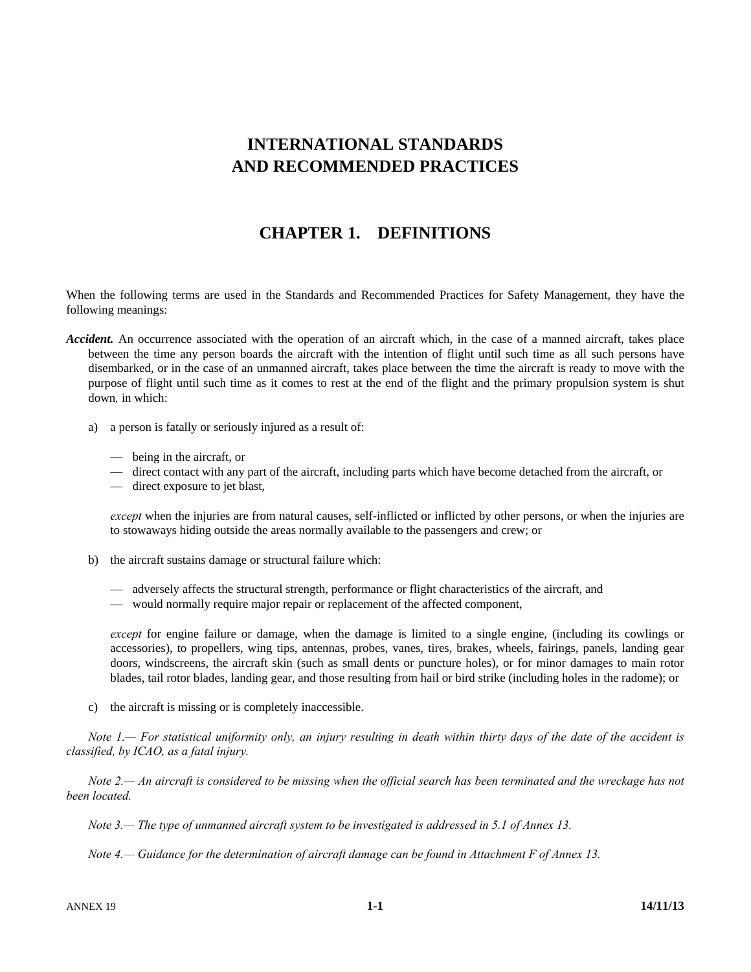# **INTERNATIONAL STANDARDS AND RECOMMENDED PRACTICES**

## **CHAPTER 1. DEFINITIONS**

When the following terms are used in the Standards and Recommended Practices for Safety Management, they have the following meanings:

- *Accident.* An occurrence associated with the operation of an aircraft which, in the case of a manned aircraft, takes place between the time any person boards the aircraft with the intention of flight until such time as all such persons have disembarked, or in the case of an unmanned aircraft, takes place between the time the aircraft is ready to move with the purpose of flight until such time as it comes to rest at the end of the flight and the primary propulsion system is shut down*,* in which:
	- a) a person is fatally or seriously injured as a result of:
		- being in the aircraft, or
		- direct contact with any part of the aircraft, including parts which have become detached from the aircraft, or
		- direct exposure to jet blast,

 *except* when the injuries are from natural causes, self-inflicted or inflicted by other persons, or when the injuries are to stowaways hiding outside the areas normally available to the passengers and crew; or

- b) the aircraft sustains damage or structural failure which:
	- adversely affects the structural strength, performance or flight characteristics of the aircraft, and
	- would normally require major repair or replacement of the affected component,

 *except* for engine failure or damage, when the damage is limited to a single engine, (including its cowlings or accessories), to propellers, wing tips, antennas, probes, vanes, tires, brakes, wheels, fairings, panels, landing gear doors, windscreens, the aircraft skin (such as small dents or puncture holes), or for minor damages to main rotor blades, tail rotor blades, landing gear, and those resulting from hail or bird strike (including holes in the radome); or

c) the aircraft is missing or is completely inaccessible.

 *Note 1.— For statistical uniformity only, an injury resulting in death within thirty days of the date of the accident is classified, by ICAO, as a fatal injury.* 

 *Note 2.— An aircraft is considered to be missing when the official search has been terminated and the wreckage has not been located.* 

 *Note 3.— The type of unmanned aircraft system to be investigated is addressed in 5.1 of Annex 13.* 

 *Note 4.— Guidance for the determination of aircraft damage can be found in Attachment F of Annex 13.*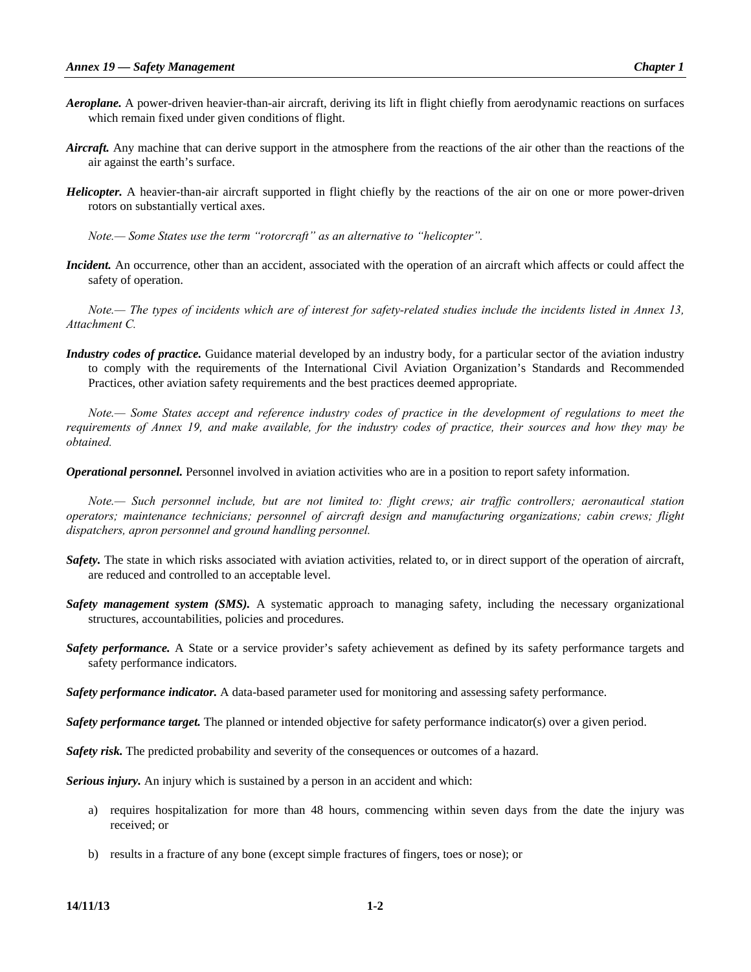- *Aeroplane.* A power-driven heavier-than-air aircraft, deriving its lift in flight chiefly from aerodynamic reactions on surfaces which remain fixed under given conditions of flight.
- *Aircraft.* Any machine that can derive support in the atmosphere from the reactions of the air other than the reactions of the air against the earth's surface.
- *Helicopter.* A heavier-than-air aircraft supported in flight chiefly by the reactions of the air on one or more power-driven rotors on substantially vertical axes.

 *Note.— Some States use the term "rotorcraft" as an alternative to "helicopter".* 

*Incident*. An occurrence, other than an accident, associated with the operation of an aircraft which affects or could affect the safety of operation.

 *Note.— The types of incidents which are of interest for safety-related studies include the incidents listed in Annex 13, Attachment C.*

*Industry codes of practice.* Guidance material developed by an industry body, for a particular sector of the aviation industry to comply with the requirements of the International Civil Aviation Organization's Standards and Recommended Practices, other aviation safety requirements and the best practices deemed appropriate.

 *Note.— Some States accept and reference industry codes of practice in the development of regulations to meet the requirements of Annex 19, and make available, for the industry codes of practice, their sources and how they may be obtained.* 

*Operational personnel.* Personnel involved in aviation activities who are in a position to report safety information.

 *Note.— Such personnel include, but are not limited to: flight crews; air traffic controllers; aeronautical station operators; maintenance technicians; personnel of aircraft design and manufacturing organizations; cabin crews; flight dispatchers, apron personnel and ground handling personnel.* 

- *Safety.* The state in which risks associated with aviation activities, related to, or in direct support of the operation of aircraft, are reduced and controlled to an acceptable level.
- *Safety management system (SMS).* A systematic approach to managing safety, including the necessary organizational structures, accountabilities, policies and procedures.
- *Safety performance.* A State or a service provider's safety achievement as defined by its safety performance targets and safety performance indicators.
- *Safety performance indicator.* A data-based parameter used for monitoring and assessing safety performance.
- *Safety performance target*. The planned or intended objective for safety performance indicator(s) over a given period.

**Safety risk.** The predicted probability and severity of the consequences or outcomes of a hazard.

*Serious injury.* An injury which is sustained by a person in an accident and which:

- a) requires hospitalization for more than 48 hours, commencing within seven days from the date the injury was received; or
- b) results in a fracture of any bone (except simple fractures of fingers, toes or nose); or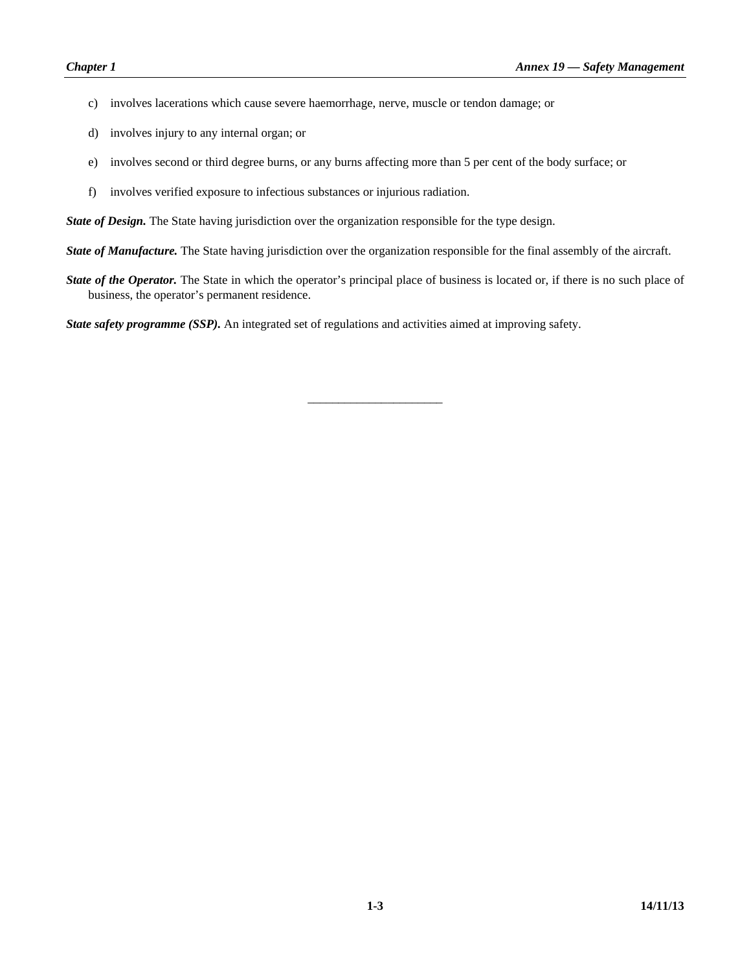- c) involves lacerations which cause severe haemorrhage, nerve, muscle or tendon damage; or
- d) involves injury to any internal organ; or
- e) involves second or third degree burns, or any burns affecting more than 5 per cent of the body surface; or
- f) involves verified exposure to infectious substances or injurious radiation.

*State of Design.* The State having jurisdiction over the organization responsible for the type design.

**State of Manufacture.** The State having jurisdiction over the organization responsible for the final assembly of the aircraft.

*State of the Operator*. The State in which the operator's principal place of business is located or, if there is no such place of business, the operator's permanent residence.

\_\_\_\_\_\_\_\_\_\_\_\_\_\_\_\_\_\_\_\_\_\_

*State safety programme (SSP).* An integrated set of regulations and activities aimed at improving safety.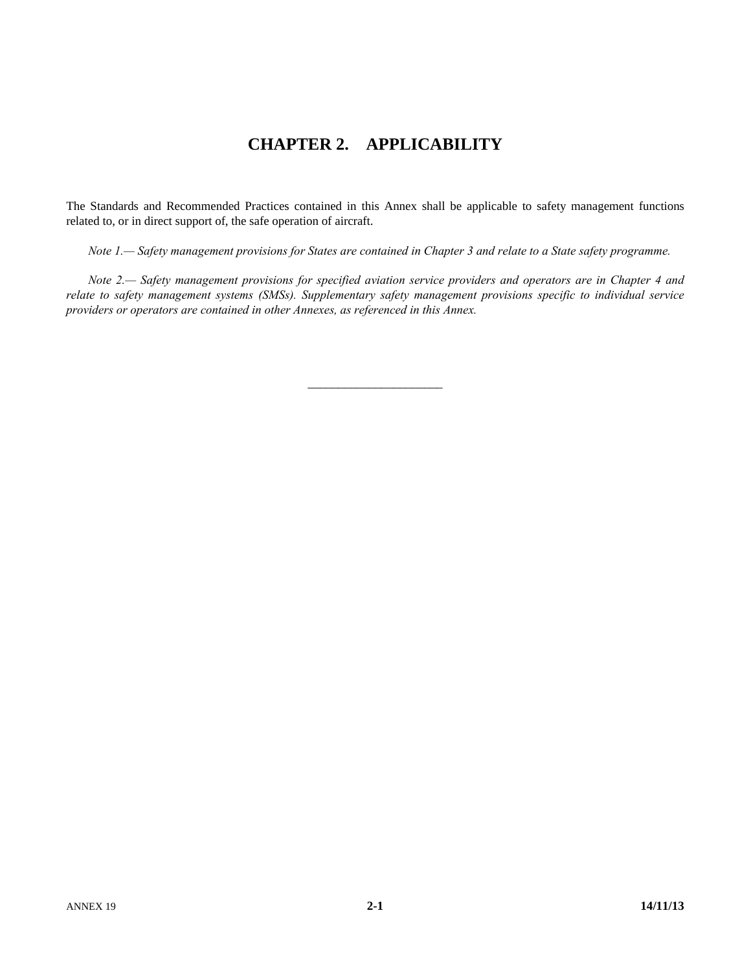# **CHAPTER 2. APPLICABILITY**

The Standards and Recommended Practices contained in this Annex shall be applicable to safety management functions related to, or in direct support of, the safe operation of aircraft.

 *Note 1.— Safety management provisions for States are contained in Chapter 3 and relate to a State safety programme.* 

 *Note 2.— Safety management provisions for specified aviation service providers and operators are in Chapter 4 and relate to safety management systems (SMSs). Supplementary safety management provisions specific to individual service providers or operators are contained in other Annexes, as referenced in this Annex.*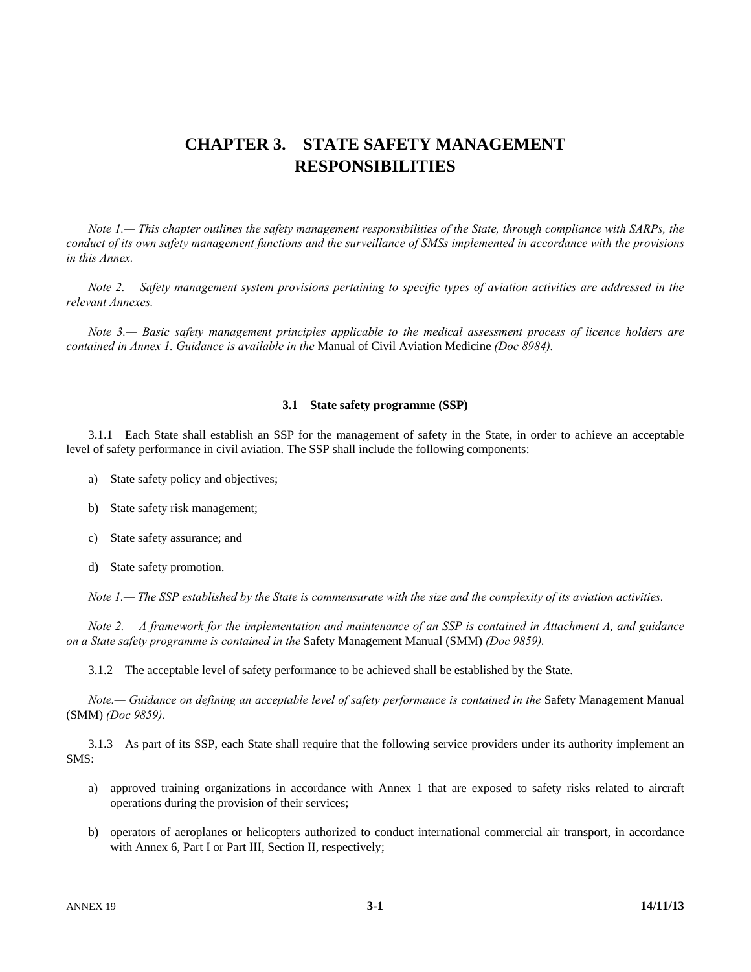## **CHAPTER 3. STATE SAFETY MANAGEMENT RESPONSIBILITIES**

 *Note 1.— This chapter outlines the safety management responsibilities of the State, through compliance with SARPs, the conduct of its own safety management functions and the surveillance of SMSs implemented in accordance with the provisions in this Annex.* 

 *Note 2.— Safety management system provisions pertaining to specific types of aviation activities are addressed in the relevant Annexes.* 

 *Note 3.— Basic safety management principles applicable to the medical assessment process of licence holders are contained in Annex 1. Guidance is available in the* Manual of Civil Aviation Medicine *(Doc 8984).*

#### **3.1 State safety programme (SSP)**

 3.1.1 Each State shall establish an SSP for the management of safety in the State, in order to achieve an acceptable level of safety performance in civil aviation. The SSP shall include the following components:

- a) State safety policy and objectives;
- b) State safety risk management;
- c) State safety assurance; and
- d) State safety promotion.

 *Note 1.— The SSP established by the State is commensurate with the size and the complexity of its aviation activities.* 

*Note 2.— A framework for the implementation and maintenance of an SSP is contained in Attachment A, and guidance on a State safety programme is contained in the* Safety Management Manual (SMM) *(Doc 9859).* 

3.1.2 The acceptable level of safety performance to be achieved shall be established by the State.

*Note.— Guidance on defining an acceptable level of safety performance is contained in the Safety Management Manual* (SMM) *(Doc 9859).*

 3.1.3 As part of its SSP, each State shall require that the following service providers under its authority implement an SMS:

- a) approved training organizations in accordance with Annex 1 that are exposed to safety risks related to aircraft operations during the provision of their services;
- b) operators of aeroplanes or helicopters authorized to conduct international commercial air transport, in accordance with Annex 6, Part I or Part III, Section II, respectively;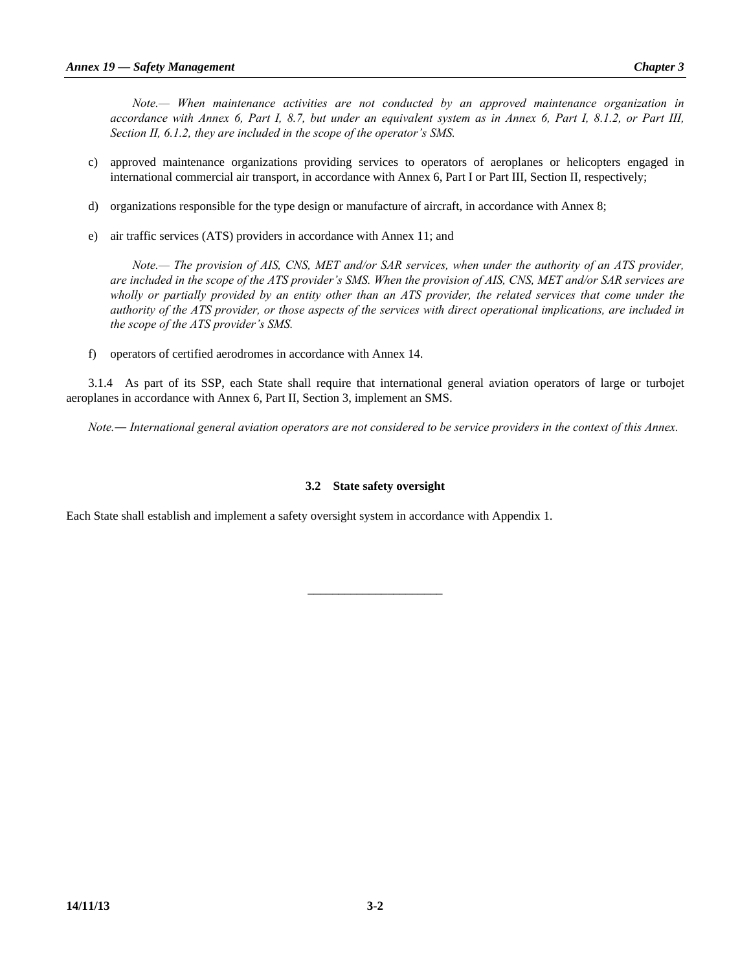*Note.— When maintenance activities are not conducted by an approved maintenance organization in accordance with Annex 6, Part I, 8.7, but under an equivalent system as in Annex 6, Part I, 8.1.2, or Part III, Section II, 6.1.2, they are included in the scope of the operator's SMS.* 

- c) approved maintenance organizations providing services to operators of aeroplanes or helicopters engaged in international commercial air transport, in accordance with Annex 6, Part I or Part III, Section II, respectively;
- d) organizations responsible for the type design or manufacture of aircraft, in accordance with Annex 8;
- e) air traffic services (ATS) providers in accordance with Annex 11; and

 *Note.— The provision of AIS, CNS, MET and/or SAR services, when under the authority of an ATS provider, are included in the scope of the ATS provider's SMS. When the provision of AIS, CNS, MET and/or SAR services are wholly or partially provided by an entity other than an ATS provider, the related services that come under the authority of the ATS provider, or those aspects of the services with direct operational implications, are included in the scope of the ATS provider's SMS.* 

f) operators of certified aerodromes in accordance with Annex 14.

 3.1.4 As part of its SSP, each State shall require that international general aviation operators of large or turbojet aeroplanes in accordance with Annex 6, Part II, Section 3, implement an SMS.

 *Note.― International general aviation operators are not considered to be service providers in the context of this Annex.* 

#### **3.2 State safety oversight**

\_\_\_\_\_\_\_\_\_\_\_\_\_\_\_\_\_\_\_\_\_\_

Each State shall establish and implement a safety oversight system in accordance with Appendix 1.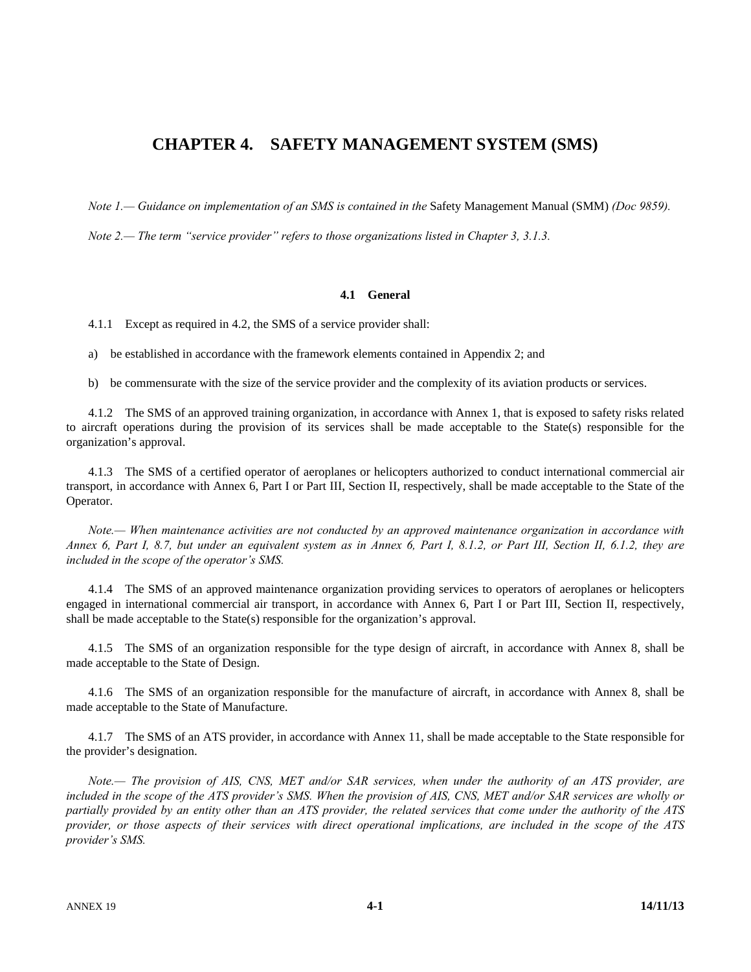## **CHAPTER 4. SAFETY MANAGEMENT SYSTEM (SMS)**

*Note 1.— Guidance on implementation of an SMS is contained in the Safety Management Manual (SMM) (Doc 9859).* 

 *Note 2.— The term "service provider" refers to those organizations listed in Chapter 3, 3.1.3.* 

#### **4.1 General**

4.1.1 Except as required in 4.2, the SMS of a service provider shall:

a) be established in accordance with the framework elements contained in Appendix 2; and

b) be commensurate with the size of the service provider and the complexity of its aviation products or services.

 4.1.2 The SMS of an approved training organization, in accordance with Annex 1, that is exposed to safety risks related to aircraft operations during the provision of its services shall be made acceptable to the State(s) responsible for the organization's approval.

 4.1.3 The SMS of a certified operator of aeroplanes or helicopters authorized to conduct international commercial air transport, in accordance with Annex 6, Part I or Part III, Section II, respectively, shall be made acceptable to the State of the Operator.

 *Note.— When maintenance activities are not conducted by an approved maintenance organization in accordance with Annex 6, Part I, 8.7, but under an equivalent system as in Annex 6, Part I, 8.1.2, or Part III, Section II, 6.1.2, they are included in the scope of the operator's SMS.* 

 4.1.4 The SMS of an approved maintenance organization providing services to operators of aeroplanes or helicopters engaged in international commercial air transport, in accordance with Annex 6, Part I or Part III, Section II, respectively, shall be made acceptable to the State(s) responsible for the organization's approval.

 4.1.5 The SMS of an organization responsible for the type design of aircraft, in accordance with Annex 8, shall be made acceptable to the State of Design.

 4.1.6 The SMS of an organization responsible for the manufacture of aircraft, in accordance with Annex 8, shall be made acceptable to the State of Manufacture.

 4.1.7 The SMS of an ATS provider, in accordance with Annex 11, shall be made acceptable to the State responsible for the provider's designation.

*Note.— The provision of AIS, CNS, MET and/or SAR services, when under the authority of an ATS provider, are included in the scope of the ATS provider's SMS. When the provision of AIS, CNS, MET and/or SAR services are wholly or partially provided by an entity other than an ATS provider, the related services that come under the authority of the ATS provider, or those aspects of their services with direct operational implications, are included in the scope of the ATS provider's SMS.*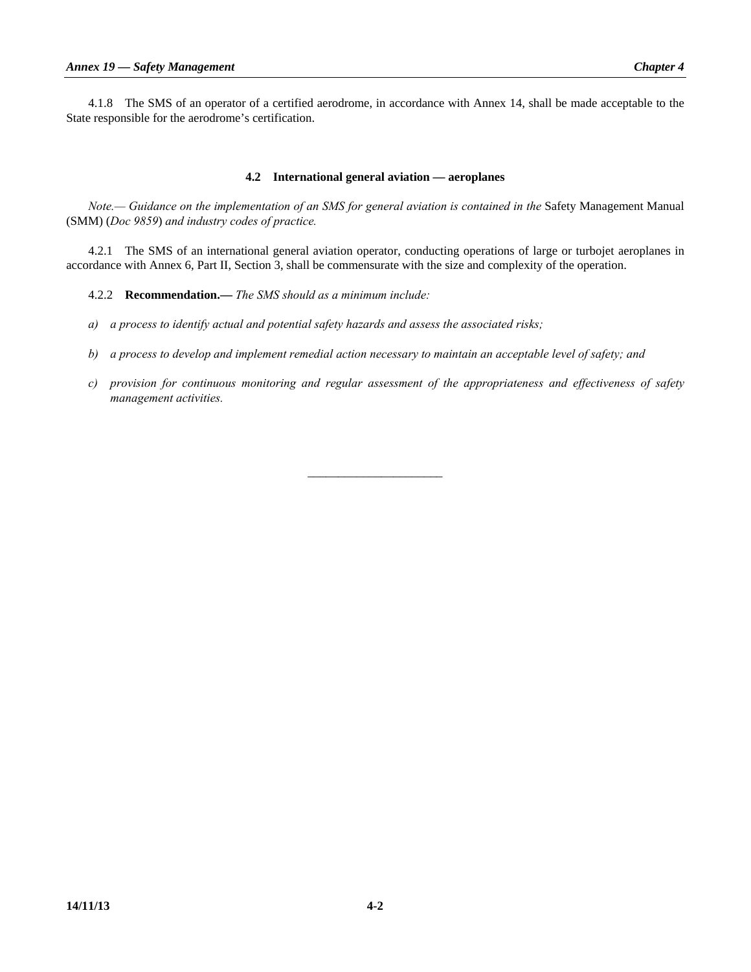#### **4.2 International general aviation — aeroplanes**

*Note.— Guidance on the implementation of an SMS for general aviation is contained in the Safety Management Manual* (SMM) (*Doc 9859*) *and industry codes of practice.* 

 4.2.1 The SMS of an international general aviation operator, conducting operations of large or turbojet aeroplanes in accordance with Annex 6, Part II, Section 3, shall be commensurate with the size and complexity of the operation.

4.2.2 **Recommendation.—** *The SMS should as a minimum include:* 

- *a) a process to identify actual and potential safety hazards and assess the associated risks;*
- *b) a process to develop and implement remedial action necessary to maintain an acceptable level of safety; and*
- *c) provision for continuous monitoring and regular assessment of the appropriateness and effectiveness of safety management activities.*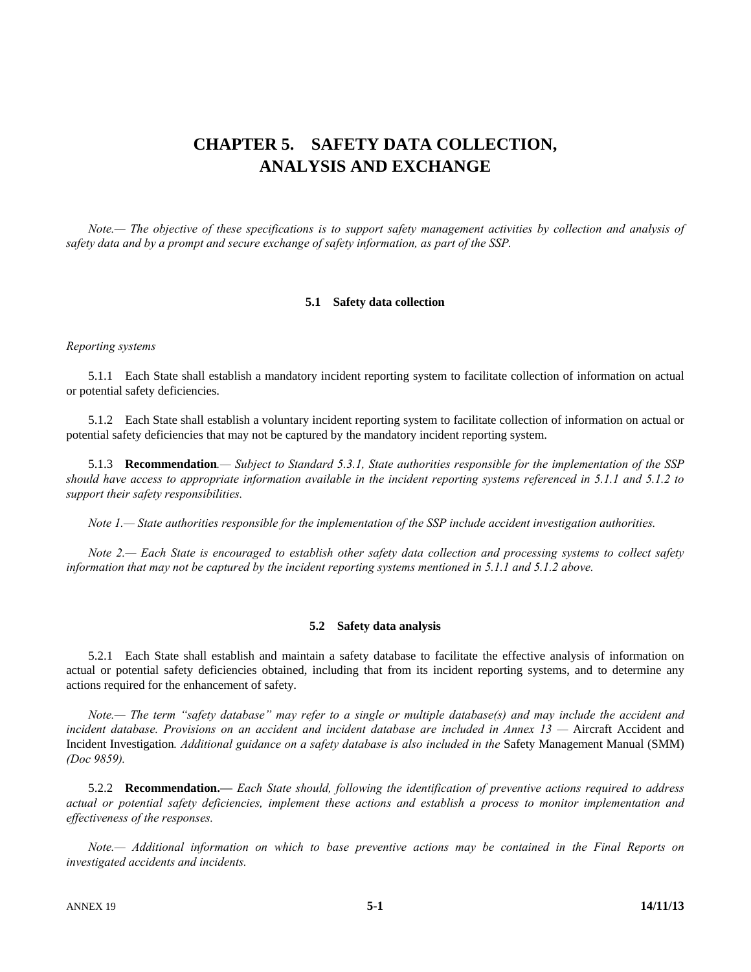## **CHAPTER 5. SAFETY DATA COLLECTION, ANALYSIS AND EXCHANGE**

 *Note.— The objective of these specifications is to support safety management activities by collection and analysis of safety data and by a prompt and secure exchange of safety information, as part of the SSP.* 

#### **5.1 Safety data collection**

*Reporting systems* 

 5.1.1 Each State shall establish a mandatory incident reporting system to facilitate collection of information on actual or potential safety deficiencies.

 5.1.2 Each State shall establish a voluntary incident reporting system to facilitate collection of information on actual or potential safety deficiencies that may not be captured by the mandatory incident reporting system.

 5.1.3 **Recommendation***.— Subject to Standard 5.3.1, State authorities responsible for the implementation of the SSP should have access to appropriate information available in the incident reporting systems referenced in 5.1.1 and 5.1.2 to support their safety responsibilities.* 

 *Note 1.— State authorities responsible for the implementation of the SSP include accident investigation authorities.* 

 *Note 2.— Each State is encouraged to establish other safety data collection and processing systems to collect safety information that may not be captured by the incident reporting systems mentioned in 5.1.1 and 5.1.2 above.* 

#### **5.2 Safety data analysis**

 5.2.1 Each State shall establish and maintain a safety database to facilitate the effective analysis of information on actual or potential safety deficiencies obtained, including that from its incident reporting systems, and to determine any actions required for the enhancement of safety.

 *Note.— The term "safety database" may refer to a single or multiple database(s) and may include the accident and incident database. Provisions on an accident and incident database are included in Annex 13 —* Aircraft Accident and Incident Investigation*. Additional guidance on a safety database is also included in the* Safety Management Manual (SMM) *(Doc 9859).* 

 5.2.2 **Recommendation.—** *Each State should, following the identification of preventive actions required to address actual or potential safety deficiencies, implement these actions and establish a process to monitor implementation and effectiveness of the responses.* 

 *Note.— Additional information on which to base preventive actions may be contained in the Final Reports on investigated accidents and incidents.*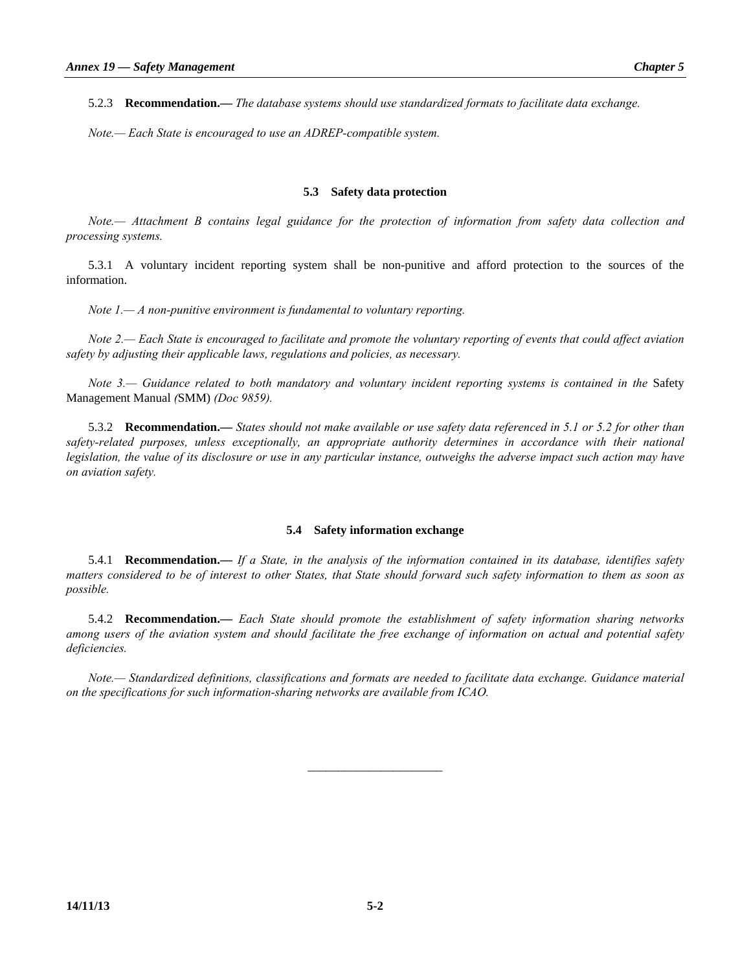5.2.3 **Recommendation.—** *The database systems should use standardized formats to facilitate data exchange.* 

 *Note.— Each State is encouraged to use an ADREP-compatible system.* 

#### **5.3 Safety data protection**

 *Note.— Attachment B contains legal guidance for the protection of information from safety data collection and processing systems.* 

 5.3.1 A voluntary incident reporting system shall be non-punitive and afford protection to the sources of the information.

 *Note 1.— A non-punitive environment is fundamental to voluntary reporting.* 

 *Note 2.— Each State is encouraged to facilitate and promote the voluntary reporting of events that could affect aviation safety by adjusting their applicable laws, regulations and policies, as necessary.* 

 *Note 3.— Guidance related to both mandatory and voluntary incident reporting systems is contained in the* Safety Management Manual *(*SMM) *(Doc 9859).* 

 5.3.2 **Recommendation.—** *States should not make available or use safety data referenced in 5.1 or 5.2 for other than safety-related purposes, unless exceptionally, an appropriate authority determines in accordance with their national legislation, the value of its disclosure or use in any particular instance, outweighs the adverse impact such action may have on aviation safety.* 

#### **5.4 Safety information exchange**

 5.4.1 **Recommendation.—** *If a State, in the analysis of the information contained in its database, identifies safety matters considered to be of interest to other States, that State should forward such safety information to them as soon as possible.* 

 5.4.2 **Recommendation.—** *Each State should promote the establishment of safety information sharing networks among users of the aviation system and should facilitate the free exchange of information on actual and potential safety deficiencies.* 

 *Note.— Standardized definitions, classifications and formats are needed to facilitate data exchange. Guidance material on the specifications for such information-sharing networks are available from ICAO.*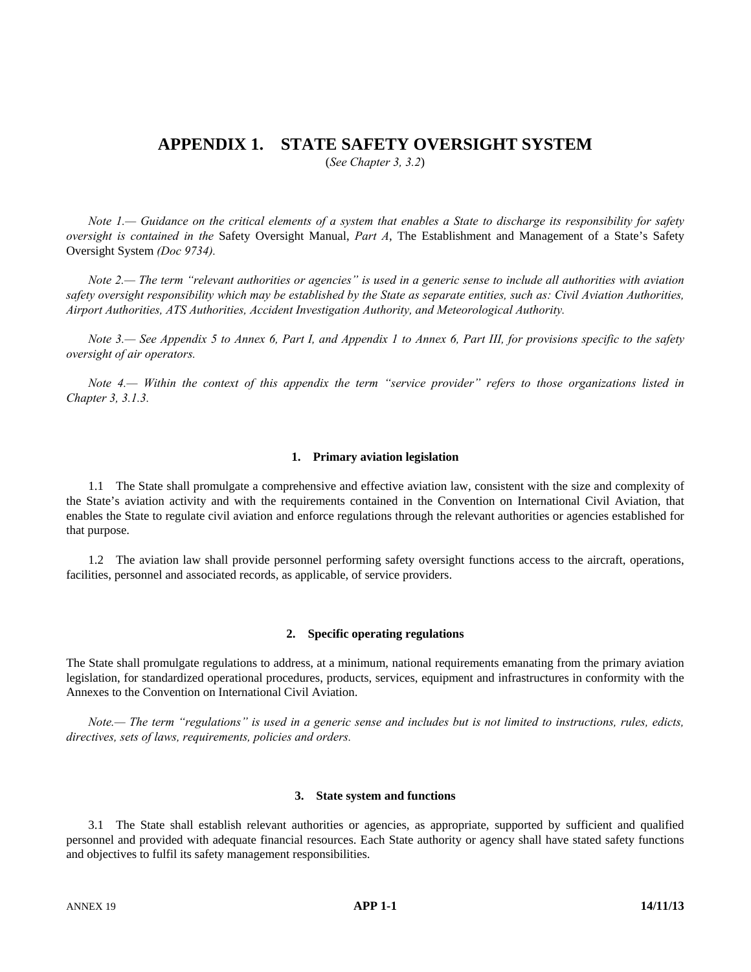## **APPENDIX 1. STATE SAFETY OVERSIGHT SYSTEM**

(*See Chapter 3, 3.2*)

 *Note 1.— Guidance on the critical elements of a system that enables a State to discharge its responsibility for safety oversight is contained in the* Safety Oversight Manual, *Part A*, The Establishment and Management of a State's Safety Oversight System *(Doc 9734).* 

 *Note 2.— The term "relevant authorities or agencies" is used in a generic sense to include all authorities with aviation safety oversight responsibility which may be established by the State as separate entities, such as: Civil Aviation Authorities, Airport Authorities, ATS Authorities, Accident Investigation Authority, and Meteorological Authority.* 

 *Note 3.— See Appendix 5 to Annex 6, Part I, and Appendix 1 to Annex 6, Part III, for provisions specific to the safety oversight of air operators.* 

 *Note 4.— Within the context of this appendix the term "service provider" refers to those organizations listed in Chapter 3, 3.1.3.*

#### **1. Primary aviation legislation**

 1.1 The State shall promulgate a comprehensive and effective aviation law, consistent with the size and complexity of the State's aviation activity and with the requirements contained in the Convention on International Civil Aviation, that enables the State to regulate civil aviation and enforce regulations through the relevant authorities or agencies established for that purpose.

 1.2 The aviation law shall provide personnel performing safety oversight functions access to the aircraft, operations, facilities, personnel and associated records, as applicable, of service providers.

#### **2. Specific operating regulations**

The State shall promulgate regulations to address, at a minimum, national requirements emanating from the primary aviation legislation, for standardized operational procedures, products, services, equipment and infrastructures in conformity with the Annexes to the Convention on International Civil Aviation.

 *Note.— The term "regulations" is used in a generic sense and includes but is not limited to instructions, rules, edicts, directives, sets of laws, requirements, policies and orders.* 

#### **3. State system and functions**

 3.1 The State shall establish relevant authorities or agencies, as appropriate, supported by sufficient and qualified personnel and provided with adequate financial resources. Each State authority or agency shall have stated safety functions and objectives to fulfil its safety management responsibilities.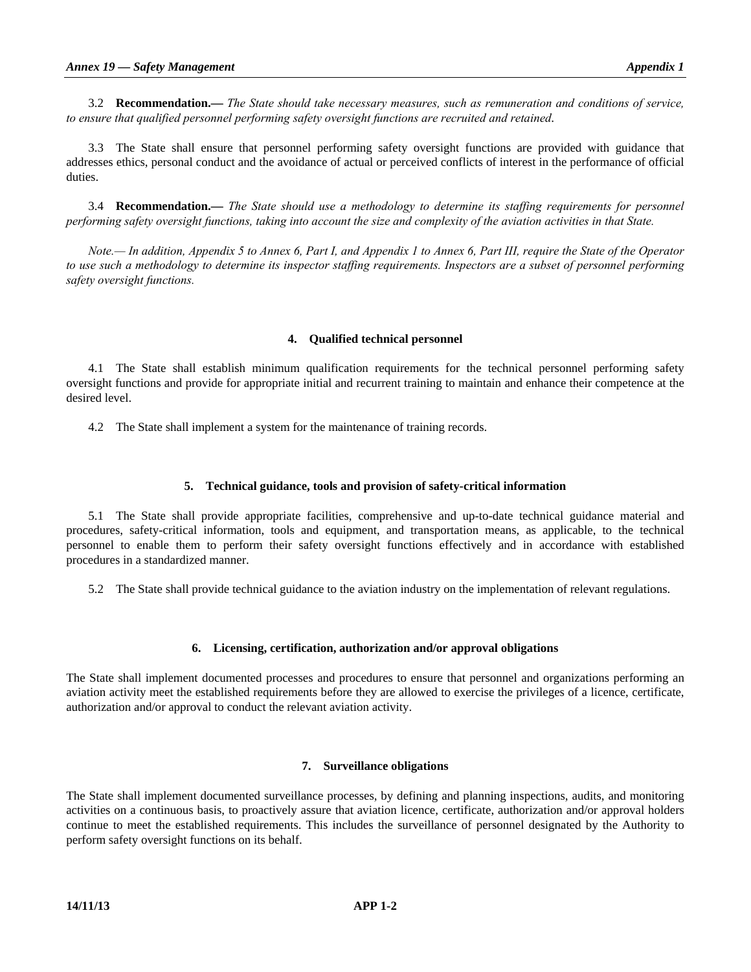3.2 **Recommendation.—** *The State should take necessary measures, such as remuneration and conditions of service, to ensure that qualified personnel performing safety oversight functions are recruited and retained*.

 3.3 The State shall ensure that personnel performing safety oversight functions are provided with guidance that addresses ethics, personal conduct and the avoidance of actual or perceived conflicts of interest in the performance of official duties.

 3.4 **Recommendation.—** *The State should use a methodology to determine its staffing requirements for personnel performing safety oversight functions, taking into account the size and complexity of the aviation activities in that State.* 

 *Note.— In addition, Appendix 5 to Annex 6, Part I, and Appendix 1 to Annex 6, Part III, require the State of the Operator to use such a methodology to determine its inspector staffing requirements. Inspectors are a subset of personnel performing safety oversight functions.*

#### **4. Qualified technical personnel**

 4.1 The State shall establish minimum qualification requirements for the technical personnel performing safety oversight functions and provide for appropriate initial and recurrent training to maintain and enhance their competence at the desired level.

4.2 The State shall implement a system for the maintenance of training records.

#### **5. Technical guidance, tools and provision of safety-critical information**

 5.1 The State shall provide appropriate facilities, comprehensive and up-to-date technical guidance material and procedures, safety-critical information, tools and equipment, and transportation means, as applicable, to the technical personnel to enable them to perform their safety oversight functions effectively and in accordance with established procedures in a standardized manner.

5.2 The State shall provide technical guidance to the aviation industry on the implementation of relevant regulations.

#### **6. Licensing, certification, authorization and/or approval obligations**

The State shall implement documented processes and procedures to ensure that personnel and organizations performing an aviation activity meet the established requirements before they are allowed to exercise the privileges of a licence, certificate, authorization and/or approval to conduct the relevant aviation activity.

#### **7. Surveillance obligations**

The State shall implement documented surveillance processes, by defining and planning inspections, audits, and monitoring activities on a continuous basis, to proactively assure that aviation licence, certificate, authorization and/or approval holders continue to meet the established requirements. This includes the surveillance of personnel designated by the Authority to perform safety oversight functions on its behalf.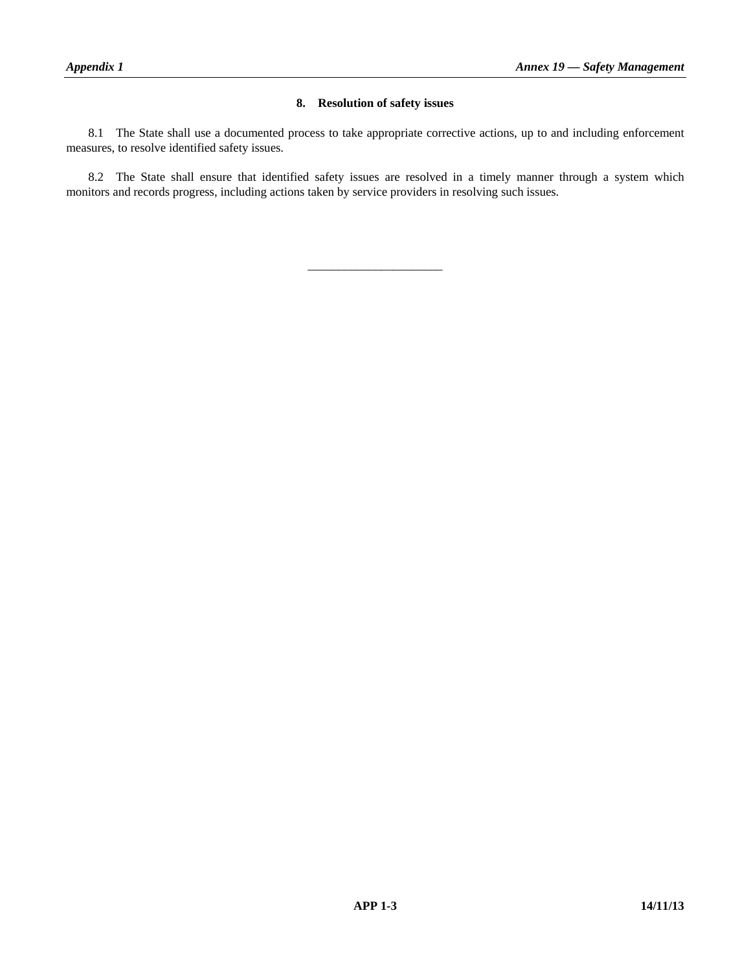#### **8. Resolution of safety issues**

 8.1 The State shall use a documented process to take appropriate corrective actions, up to and including enforcement measures, to resolve identified safety issues.

 8.2 The State shall ensure that identified safety issues are resolved in a timely manner through a system which monitors and records progress, including actions taken by service providers in resolving such issues.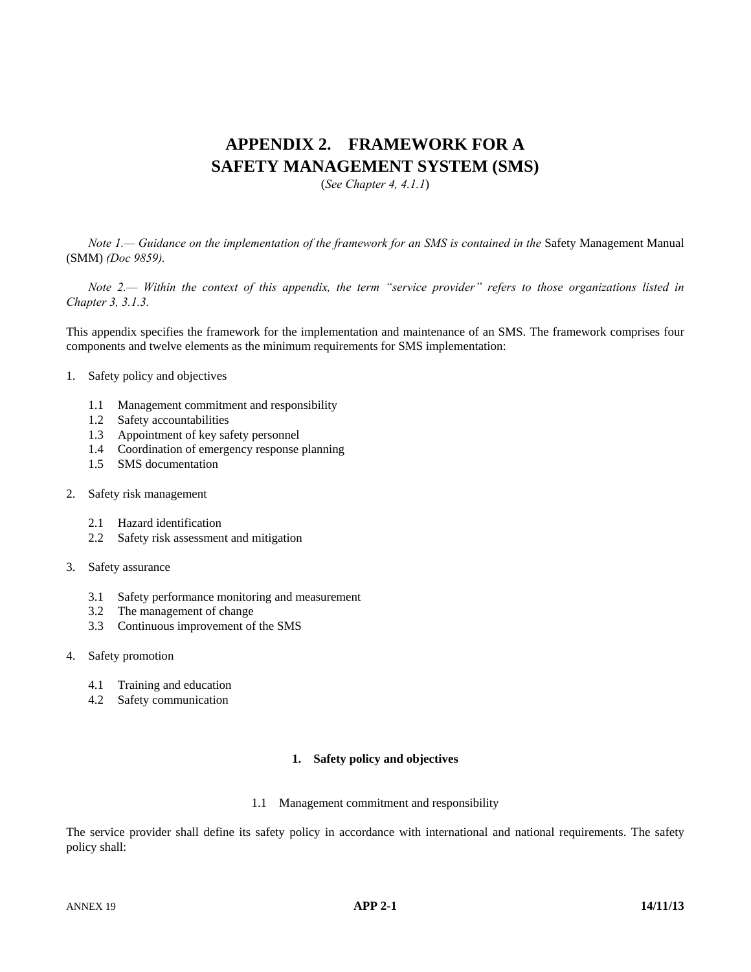# **APPENDIX 2. FRAMEWORK FOR A SAFETY MANAGEMENT SYSTEM (SMS)**

(*See Chapter 4, 4.1.1*)

*Note 1.*— Guidance on the implementation of the framework for an SMS is contained in the Safety Management Manual (SMM) *(Doc 9859).* 

 *Note 2.— Within the context of this appendix, the term "service provider" refers to those organizations listed in Chapter 3, 3.1.3.* 

This appendix specifies the framework for the implementation and maintenance of an SMS. The framework comprises four components and twelve elements as the minimum requirements for SMS implementation:

- 1. Safety policy and objectives
	- 1.1 Management commitment and responsibility
	- 1.2 Safety accountabilities
	- 1.3 Appointment of key safety personnel
	- 1.4 Coordination of emergency response planning
	- 1.5 SMS documentation
- 2. Safety risk management
	- 2.1 Hazard identification
	- 2.2 Safety risk assessment and mitigation
- 3. Safety assurance
	- 3.1 Safety performance monitoring and measurement
	- 3.2 The management of change
	- 3.3 Continuous improvement of the SMS
- 4. Safety promotion
	- 4.1 Training and education
	- 4.2 Safety communication

#### **1. Safety policy and objectives**

#### 1.1 Management commitment and responsibility

The service provider shall define its safety policy in accordance with international and national requirements. The safety policy shall: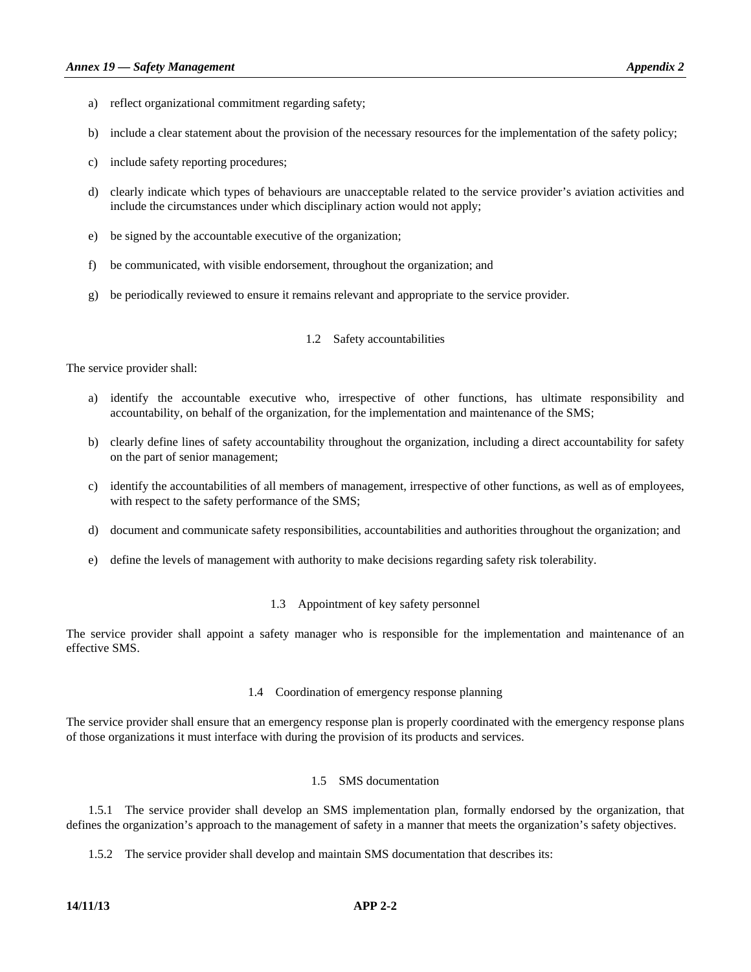- a) reflect organizational commitment regarding safety;
- b) include a clear statement about the provision of the necessary resources for the implementation of the safety policy;
- c) include safety reporting procedures;
- d) clearly indicate which types of behaviours are unacceptable related to the service provider's aviation activities and include the circumstances under which disciplinary action would not apply;
- e) be signed by the accountable executive of the organization;
- f) be communicated, with visible endorsement, throughout the organization; and
- g) be periodically reviewed to ensure it remains relevant and appropriate to the service provider.

#### 1.2 Safety accountabilities

The service provider shall:

- a) identify the accountable executive who, irrespective of other functions, has ultimate responsibility and accountability, on behalf of the organization, for the implementation and maintenance of the SMS;
- b) clearly define lines of safety accountability throughout the organization, including a direct accountability for safety on the part of senior management;
- c) identify the accountabilities of all members of management, irrespective of other functions, as well as of employees, with respect to the safety performance of the SMS;
- d) document and communicate safety responsibilities, accountabilities and authorities throughout the organization; and
- e) define the levels of management with authority to make decisions regarding safety risk tolerability.

#### 1.3 Appointment of key safety personnel

The service provider shall appoint a safety manager who is responsible for the implementation and maintenance of an effective SMS.

#### 1.4 Coordination of emergency response planning

The service provider shall ensure that an emergency response plan is properly coordinated with the emergency response plans of those organizations it must interface with during the provision of its products and services.

#### 1.5 SMS documentation

 1.5.1 The service provider shall develop an SMS implementation plan, formally endorsed by the organization, that defines the organization's approach to the management of safety in a manner that meets the organization's safety objectives.

1.5.2 The service provider shall develop and maintain SMS documentation that describes its: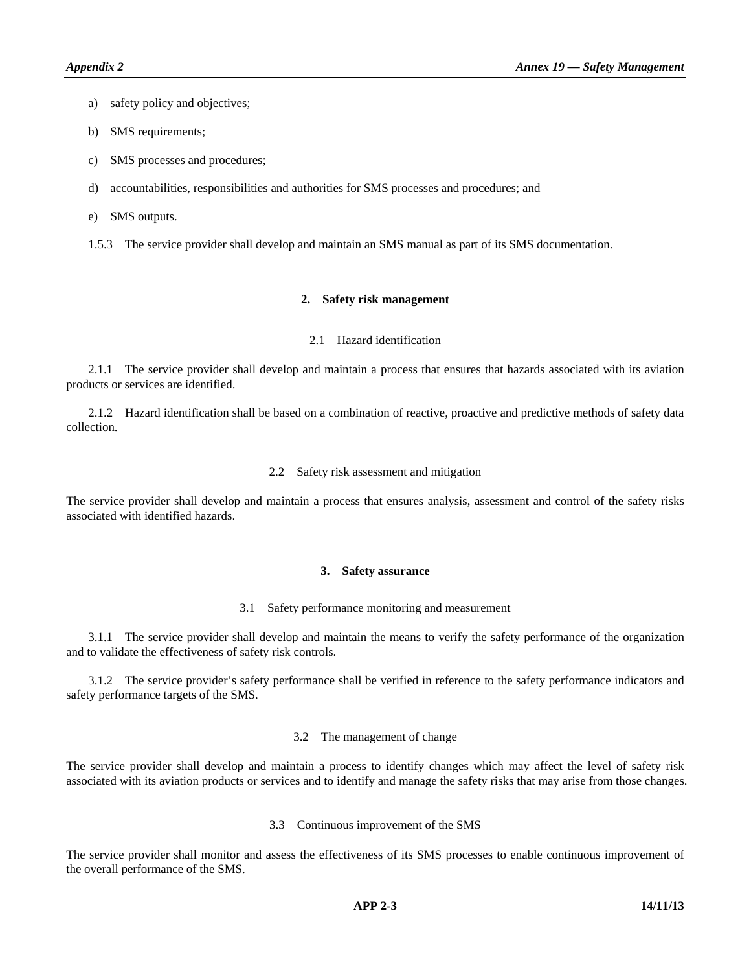a) safety policy and objectives;

b) SMS requirements;

c) SMS processes and procedures;

d) accountabilities, responsibilities and authorities for SMS processes and procedures; and

e) SMS outputs.

1.5.3 The service provider shall develop and maintain an SMS manual as part of its SMS documentation.

#### **2. Safety risk management**

#### 2.1 Hazard identification

 2.1.1 The service provider shall develop and maintain a process that ensures that hazards associated with its aviation products or services are identified.

 2.1.2 Hazard identification shall be based on a combination of reactive, proactive and predictive methods of safety data collection.

#### 2.2 Safety risk assessment and mitigation

The service provider shall develop and maintain a process that ensures analysis, assessment and control of the safety risks associated with identified hazards.

#### **3. Safety assurance**

#### 3.1 Safety performance monitoring and measurement

 3.1.1 The service provider shall develop and maintain the means to verify the safety performance of the organization and to validate the effectiveness of safety risk controls.

 3.1.2 The service provider's safety performance shall be verified in reference to the safety performance indicators and safety performance targets of the SMS.

#### 3.2 The management of change

The service provider shall develop and maintain a process to identify changes which may affect the level of safety risk associated with its aviation products or services and to identify and manage the safety risks that may arise from those changes.

#### 3.3 Continuous improvement of the SMS

The service provider shall monitor and assess the effectiveness of its SMS processes to enable continuous improvement of the overall performance of the SMS.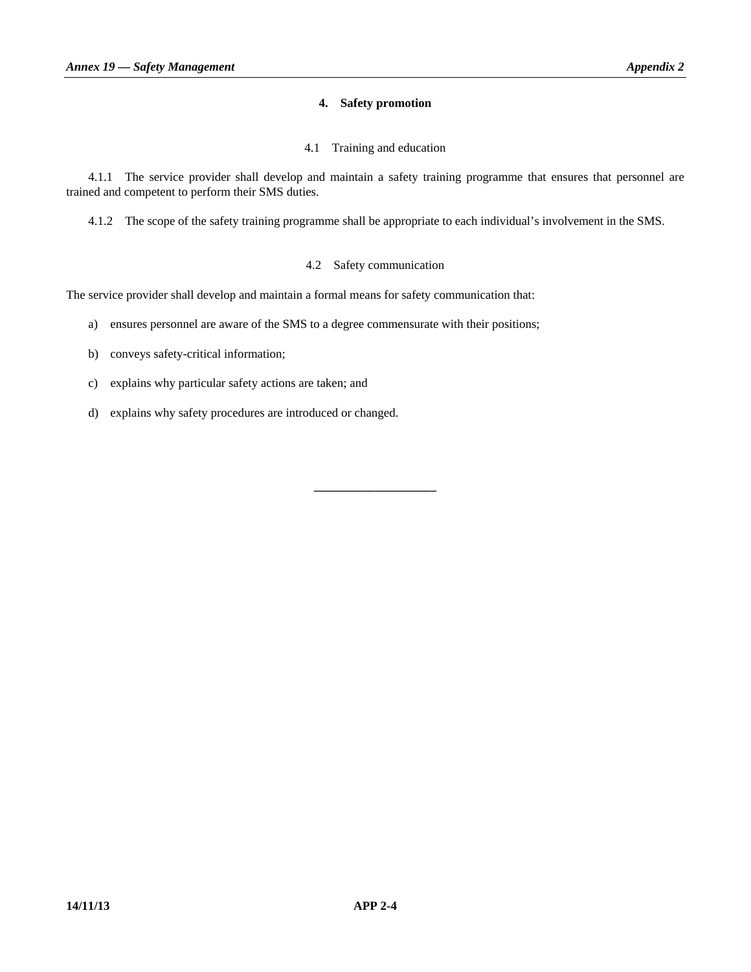#### **4. Safety promotion**

4.1 Training and education

 4.1.1 The service provider shall develop and maintain a safety training programme that ensures that personnel are trained and competent to perform their SMS duties.

4.1.2 The scope of the safety training programme shall be appropriate to each individual's involvement in the SMS.

#### 4.2 Safety communication

**\_\_\_\_\_\_\_\_\_\_\_\_\_\_\_\_\_\_\_\_** 

The service provider shall develop and maintain a formal means for safety communication that:

- a) ensures personnel are aware of the SMS to a degree commensurate with their positions;
- b) conveys safety-critical information;
- c) explains why particular safety actions are taken; and
- d) explains why safety procedures are introduced or changed.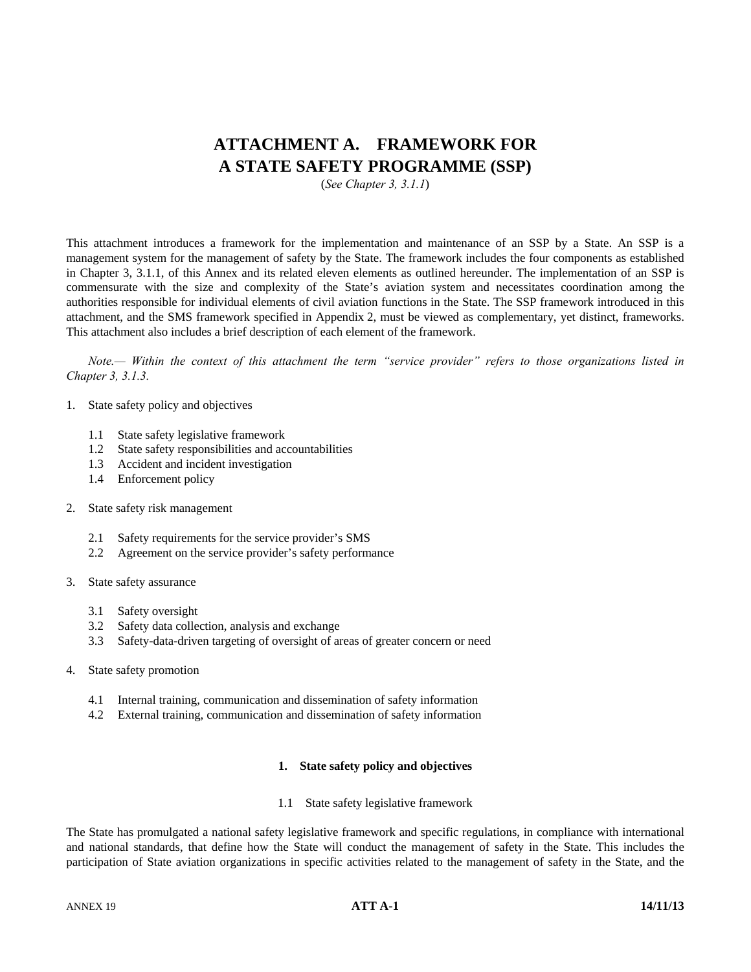# **ATTACHMENT A. FRAMEWORK FOR A STATE SAFETY PROGRAMME (SSP)**

(*See Chapter 3, 3.1.1*)

This attachment introduces a framework for the implementation and maintenance of an SSP by a State. An SSP is a management system for the management of safety by the State. The framework includes the four components as established in Chapter 3, 3.1.1, of this Annex and its related eleven elements as outlined hereunder. The implementation of an SSP is commensurate with the size and complexity of the State's aviation system and necessitates coordination among the authorities responsible for individual elements of civil aviation functions in the State. The SSP framework introduced in this attachment, and the SMS framework specified in Appendix 2, must be viewed as complementary, yet distinct, frameworks. This attachment also includes a brief description of each element of the framework.

 *Note.— Within the context of this attachment the term "service provider" refers to those organizations listed in Chapter 3, 3.1.3.*

- 1. State safety policy and objectives
	- 1.1 State safety legislative framework
	- 1.2 State safety responsibilities and accountabilities
	- 1.3 Accident and incident investigation
	- 1.4 Enforcement policy
- 2. State safety risk management
	- 2.1 Safety requirements for the service provider's SMS
	- 2.2 Agreement on the service provider's safety performance
- 3. State safety assurance
	- 3.1 Safety oversight
	- 3.2 Safety data collection, analysis and exchange
	- 3.3 Safety-data-driven targeting of oversight of areas of greater concern or need
- 4. State safety promotion
	- 4.1 Internal training, communication and dissemination of safety information
	- 4.2 External training, communication and dissemination of safety information

#### **1. State safety policy and objectives**

#### 1.1 State safety legislative framework

The State has promulgated a national safety legislative framework and specific regulations, in compliance with international and national standards, that define how the State will conduct the management of safety in the State. This includes the participation of State aviation organizations in specific activities related to the management of safety in the State, and the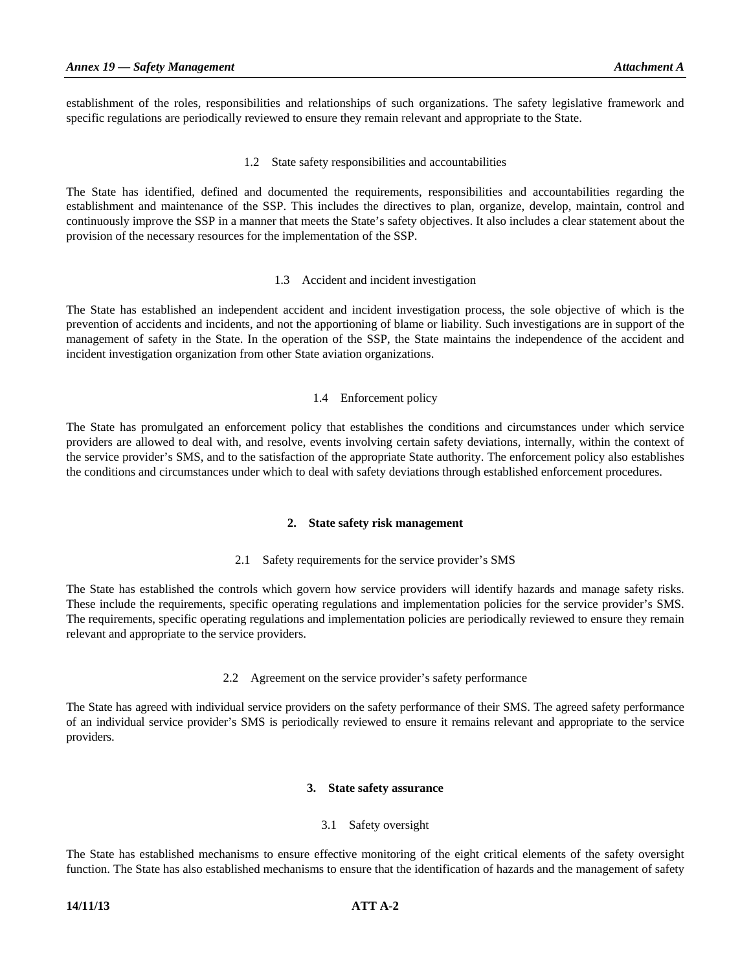establishment of the roles, responsibilities and relationships of such organizations. The safety legislative framework and specific regulations are periodically reviewed to ensure they remain relevant and appropriate to the State.

1.2 State safety responsibilities and accountabilities

The State has identified, defined and documented the requirements, responsibilities and accountabilities regarding the establishment and maintenance of the SSP. This includes the directives to plan, organize, develop, maintain, control and continuously improve the SSP in a manner that meets the State's safety objectives. It also includes a clear statement about the provision of the necessary resources for the implementation of the SSP.

#### 1.3 Accident and incident investigation

The State has established an independent accident and incident investigation process, the sole objective of which is the prevention of accidents and incidents, and not the apportioning of blame or liability. Such investigations are in support of the management of safety in the State. In the operation of the SSP, the State maintains the independence of the accident and incident investigation organization from other State aviation organizations.

#### 1.4 Enforcement policy

The State has promulgated an enforcement policy that establishes the conditions and circumstances under which service providers are allowed to deal with, and resolve, events involving certain safety deviations, internally, within the context of the service provider's SMS, and to the satisfaction of the appropriate State authority. The enforcement policy also establishes the conditions and circumstances under which to deal with safety deviations through established enforcement procedures.

#### **2. State safety risk management**

#### 2.1 Safety requirements for the service provider's SMS

The State has established the controls which govern how service providers will identify hazards and manage safety risks. These include the requirements, specific operating regulations and implementation policies for the service provider's SMS. The requirements, specific operating regulations and implementation policies are periodically reviewed to ensure they remain relevant and appropriate to the service providers.

#### 2.2 Agreement on the service provider's safety performance

The State has agreed with individual service providers on the safety performance of their SMS. The agreed safety performance of an individual service provider's SMS is periodically reviewed to ensure it remains relevant and appropriate to the service providers.

#### **3. State safety assurance**

#### 3.1 Safety oversight

The State has established mechanisms to ensure effective monitoring of the eight critical elements of the safety oversight function. The State has also established mechanisms to ensure that the identification of hazards and the management of safety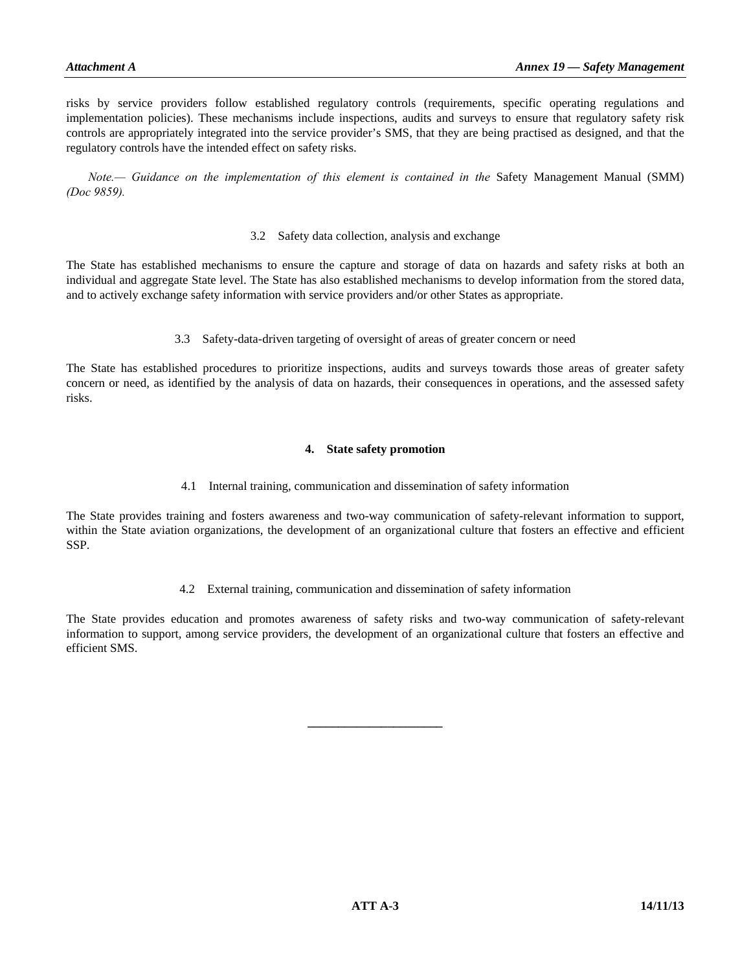risks by service providers follow established regulatory controls (requirements, specific operating regulations and implementation policies). These mechanisms include inspections, audits and surveys to ensure that regulatory safety risk controls are appropriately integrated into the service provider's SMS, that they are being practised as designed, and that the regulatory controls have the intended effect on safety risks.

*Note.*— Guidance on the implementation of this element is contained in the Safety Management Manual (SMM) *(Doc 9859).* 

#### 3.2 Safety data collection, analysis and exchange

The State has established mechanisms to ensure the capture and storage of data on hazards and safety risks at both an individual and aggregate State level. The State has also established mechanisms to develop information from the stored data, and to actively exchange safety information with service providers and/or other States as appropriate.

#### 3.3 Safety-data-driven targeting of oversight of areas of greater concern or need

The State has established procedures to prioritize inspections, audits and surveys towards those areas of greater safety concern or need, as identified by the analysis of data on hazards, their consequences in operations, and the assessed safety risks.

#### **4. State safety promotion**

4.1 Internal training, communication and dissemination of safety information

The State provides training and fosters awareness and two-way communication of safety-relevant information to support, within the State aviation organizations, the development of an organizational culture that fosters an effective and efficient SSP.

4.2 External training, communication and dissemination of safety information

The State provides education and promotes awareness of safety risks and two-way communication of safety-relevant information to support, among service providers, the development of an organizational culture that fosters an effective and efficient SMS.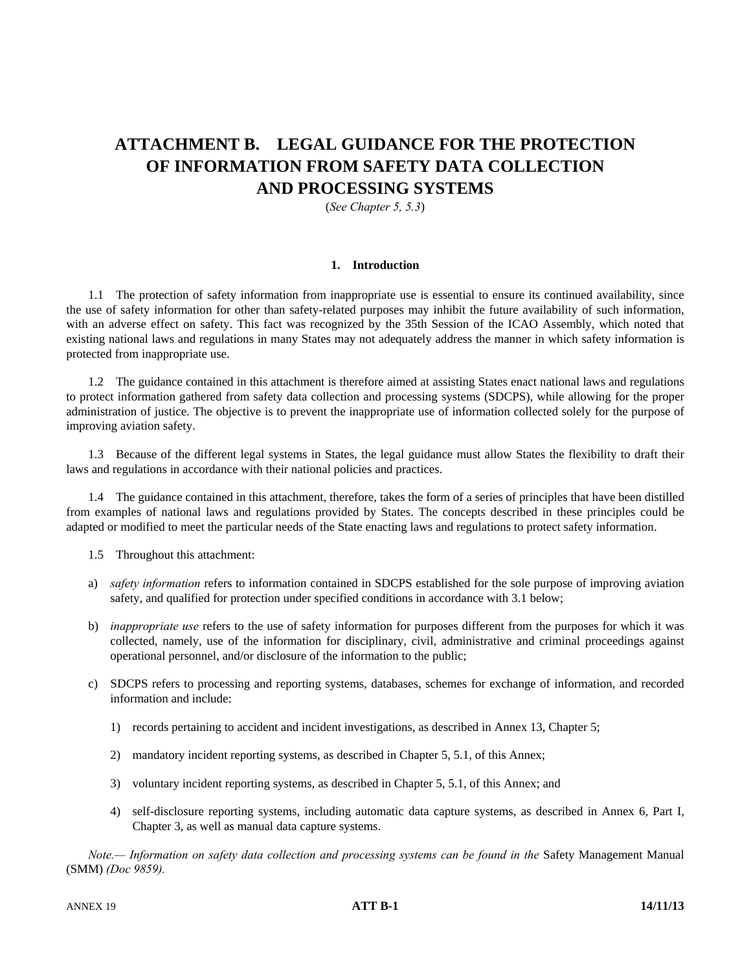# **ATTACHMENT B. LEGAL GUIDANCE FOR THE PROTECTION OF INFORMATION FROM SAFETY DATA COLLECTION AND PROCESSING SYSTEMS**

(*See Chapter 5, 5.3*)

#### **1. Introduction**

 1.1 The protection of safety information from inappropriate use is essential to ensure its continued availability, since the use of safety information for other than safety-related purposes may inhibit the future availability of such information, with an adverse effect on safety. This fact was recognized by the 35th Session of the ICAO Assembly, which noted that existing national laws and regulations in many States may not adequately address the manner in which safety information is protected from inappropriate use.

 1.2 The guidance contained in this attachment is therefore aimed at assisting States enact national laws and regulations to protect information gathered from safety data collection and processing systems (SDCPS), while allowing for the proper administration of justice. The objective is to prevent the inappropriate use of information collected solely for the purpose of improving aviation safety.

 1.3 Because of the different legal systems in States, the legal guidance must allow States the flexibility to draft their laws and regulations in accordance with their national policies and practices.

 1.4 The guidance contained in this attachment, therefore, takes the form of a series of principles that have been distilled from examples of national laws and regulations provided by States. The concepts described in these principles could be adapted or modified to meet the particular needs of the State enacting laws and regulations to protect safety information.

- 1.5 Throughout this attachment:
- a) *safety information* refers to information contained in SDCPS established for the sole purpose of improving aviation safety, and qualified for protection under specified conditions in accordance with 3.1 below;
- b) *inappropriate use* refers to the use of safety information for purposes different from the purposes for which it was collected, namely, use of the information for disciplinary, civil, administrative and criminal proceedings against operational personnel, and/or disclosure of the information to the public;
- c) SDCPS refers to processing and reporting systems, databases, schemes for exchange of information, and recorded information and include:
	- 1) records pertaining to accident and incident investigations, as described in Annex 13, Chapter 5;
	- 2) mandatory incident reporting systems, as described in Chapter 5, 5.1, of this Annex;
	- 3) voluntary incident reporting systems, as described in Chapter 5, 5.1, of this Annex; and
	- 4) self-disclosure reporting systems, including automatic data capture systems, as described in Annex 6, Part I, Chapter 3, as well as manual data capture systems.

*Note.— Information on safety data collection and processing systems can be found in the Safety Management Manual* (SMM) *(Doc 9859).*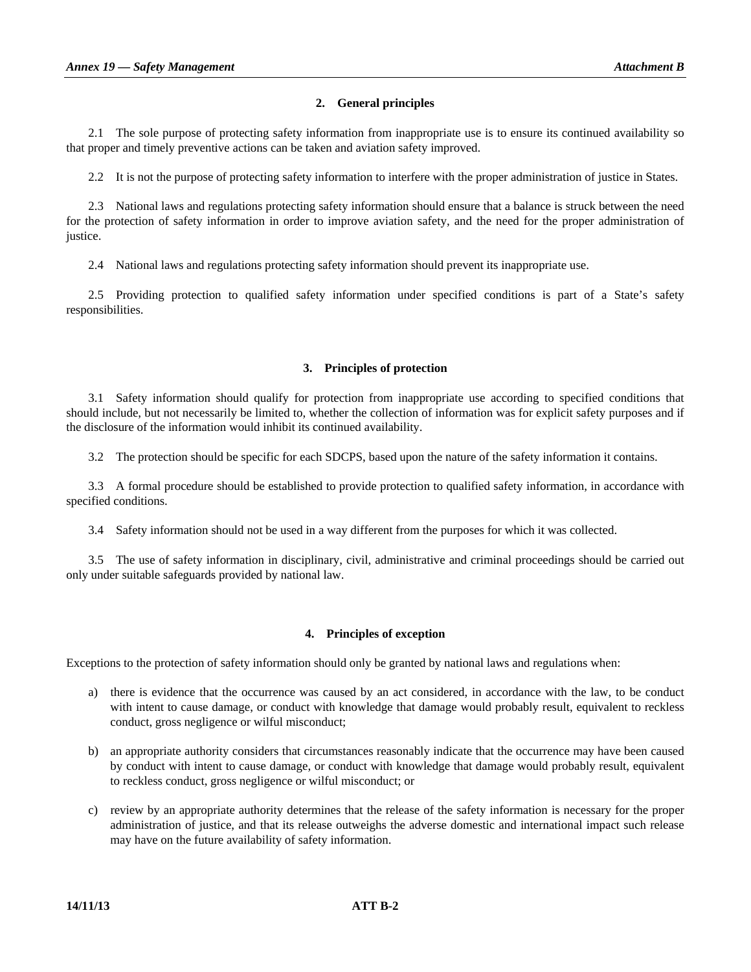#### **2. General principles**

 2.1 The sole purpose of protecting safety information from inappropriate use is to ensure its continued availability so that proper and timely preventive actions can be taken and aviation safety improved.

2.2 It is not the purpose of protecting safety information to interfere with the proper administration of justice in States.

 2.3 National laws and regulations protecting safety information should ensure that a balance is struck between the need for the protection of safety information in order to improve aviation safety, and the need for the proper administration of justice.

2.4 National laws and regulations protecting safety information should prevent its inappropriate use.

 2.5 Providing protection to qualified safety information under specified conditions is part of a State's safety responsibilities.

#### **3. Principles of protection**

 3.1 Safety information should qualify for protection from inappropriate use according to specified conditions that should include, but not necessarily be limited to, whether the collection of information was for explicit safety purposes and if the disclosure of the information would inhibit its continued availability.

3.2 The protection should be specific for each SDCPS, based upon the nature of the safety information it contains.

 3.3 A formal procedure should be established to provide protection to qualified safety information, in accordance with specified conditions.

3.4 Safety information should not be used in a way different from the purposes for which it was collected.

 3.5 The use of safety information in disciplinary, civil, administrative and criminal proceedings should be carried out only under suitable safeguards provided by national law.

#### **4. Principles of exception**

Exceptions to the protection of safety information should only be granted by national laws and regulations when:

- a) there is evidence that the occurrence was caused by an act considered, in accordance with the law, to be conduct with intent to cause damage, or conduct with knowledge that damage would probably result, equivalent to reckless conduct, gross negligence or wilful misconduct;
- b) an appropriate authority considers that circumstances reasonably indicate that the occurrence may have been caused by conduct with intent to cause damage, or conduct with knowledge that damage would probably result, equivalent to reckless conduct, gross negligence or wilful misconduct; or
- c) review by an appropriate authority determines that the release of the safety information is necessary for the proper administration of justice, and that its release outweighs the adverse domestic and international impact such release may have on the future availability of safety information.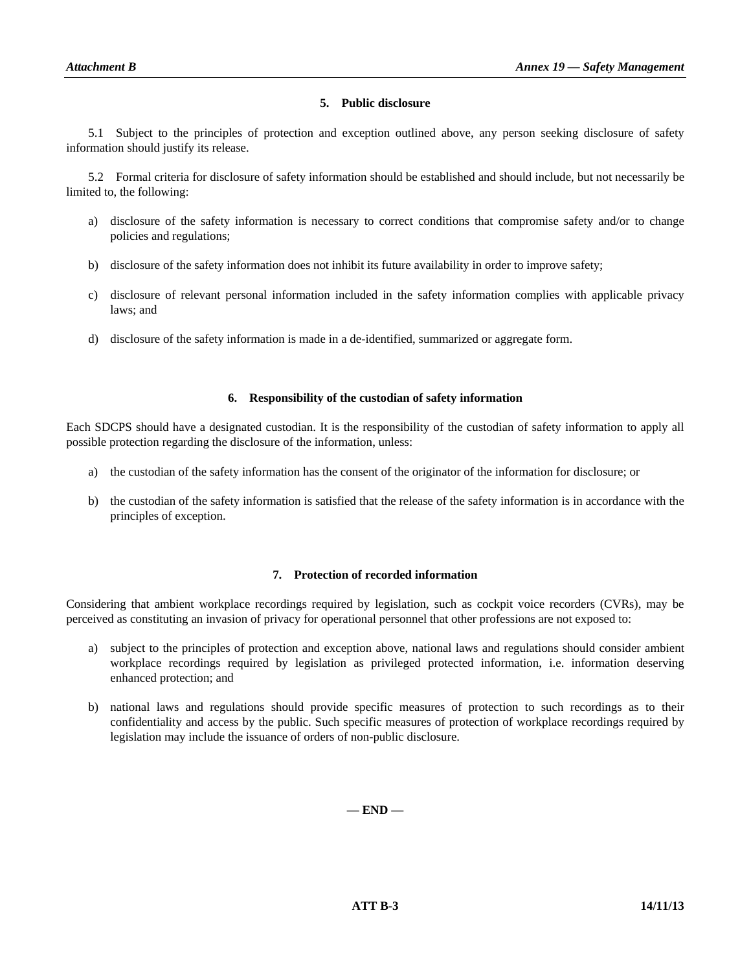#### **5. Public disclosure**

 5.1 Subject to the principles of protection and exception outlined above, any person seeking disclosure of safety information should justify its release.

 5.2 Formal criteria for disclosure of safety information should be established and should include, but not necessarily be limited to, the following:

- a) disclosure of the safety information is necessary to correct conditions that compromise safety and/or to change policies and regulations;
- b) disclosure of the safety information does not inhibit its future availability in order to improve safety;
- c) disclosure of relevant personal information included in the safety information complies with applicable privacy laws; and
- d) disclosure of the safety information is made in a de-identified, summarized or aggregate form.

#### **6. Responsibility of the custodian of safety information**

Each SDCPS should have a designated custodian. It is the responsibility of the custodian of safety information to apply all possible protection regarding the disclosure of the information, unless:

- a) the custodian of the safety information has the consent of the originator of the information for disclosure; or
- b) the custodian of the safety information is satisfied that the release of the safety information is in accordance with the principles of exception.

#### **7. Protection of recorded information**

Considering that ambient workplace recordings required by legislation, such as cockpit voice recorders (CVRs), may be perceived as constituting an invasion of privacy for operational personnel that other professions are not exposed to:

- a) subject to the principles of protection and exception above, national laws and regulations should consider ambient workplace recordings required by legislation as privileged protected information, i.e. information deserving enhanced protection; and
- b) national laws and regulations should provide specific measures of protection to such recordings as to their confidentiality and access by the public. Such specific measures of protection of workplace recordings required by legislation may include the issuance of orders of non-public disclosure.

**— END —**